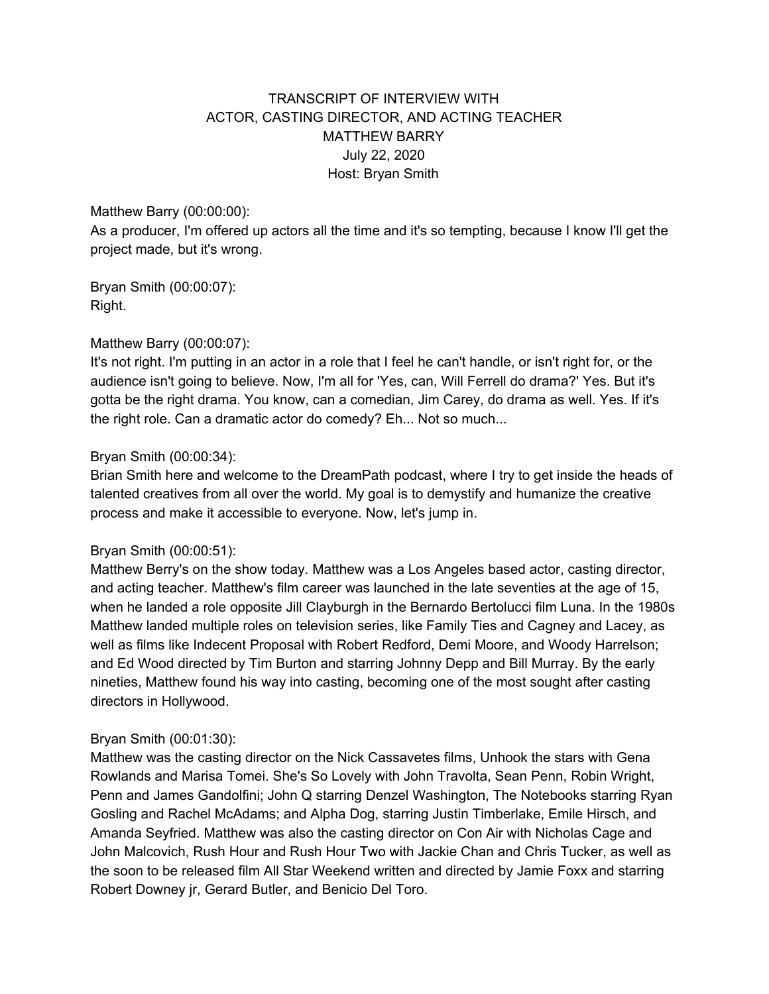# TRANSCRIPT OF INTERVIEW WITH ACTOR, CASTING DIRECTOR, AND ACTING TEACHER MATTHEW BARRY July 22, 2020 Host: Bryan Smith

## Matthew Barry (00:00:00):

As a producer, I'm offered up actors all the time and it's so tempting, because I know I'll get the project made, but it's wrong.

Bryan Smith (00:00:07): Right.

## Matthew Barry (00:00:07):

It's not right. I'm putting in an actor in a role that I feel he can't handle, or isn't right for, or the audience isn't going to believe. Now, I'm all for 'Yes, can, Will Ferrell do drama?' Yes. But it's gotta be the right drama. You know, can a comedian, Jim Carey, do drama as well. Yes. If it's the right role. Can a dramatic actor do comedy? Eh... Not so much...

## Bryan Smith (00:00:34):

Brian Smith here and welcome to the DreamPath podcast, where I try to get inside the heads of talented creatives from all over the world. My goal is to demystify and humanize the creative process and make it accessible to everyone. Now, let's jump in.

## Bryan Smith (00:00:51):

Matthew Berry's on the show today. Matthew was a Los Angeles based actor, casting director, and acting teacher. Matthew's film career was launched in the late seventies at the age of 15, when he landed a role opposite Jill Clayburgh in the Bernardo Bertolucci film Luna. In the 1980s Matthew landed multiple roles on television series, like Family Ties and Cagney and Lacey, as well as films like Indecent Proposal with Robert Redford, Demi Moore, and Woody Harrelson; and Ed Wood directed by Tim Burton and starring Johnny Depp and Bill Murray. By the early nineties, Matthew found his way into casting, becoming one of the most sought after casting directors in Hollywood.

## Bryan Smith (00:01:30):

Matthew was the casting director on the Nick Cassavetes films, Unhook the stars with Gena Rowlands and Marisa Tomei. She's So Lovely with John Travolta, Sean Penn, Robin Wright, Penn and James Gandolfini; John Q starring Denzel Washington, The Notebooks starring Ryan Gosling and Rachel McAdams; and Alpha Dog, starring Justin Timberlake, Emile Hirsch, and Amanda Seyfried. Matthew was also the casting director on Con Air with Nicholas Cage and John Malcovich, Rush Hour and Rush Hour Two with Jackie Chan and Chris Tucker, as well as the soon to be released film All Star Weekend written and directed by Jamie Foxx and starring Robert Downey jr, Gerard Butler, and Benicio Del Toro.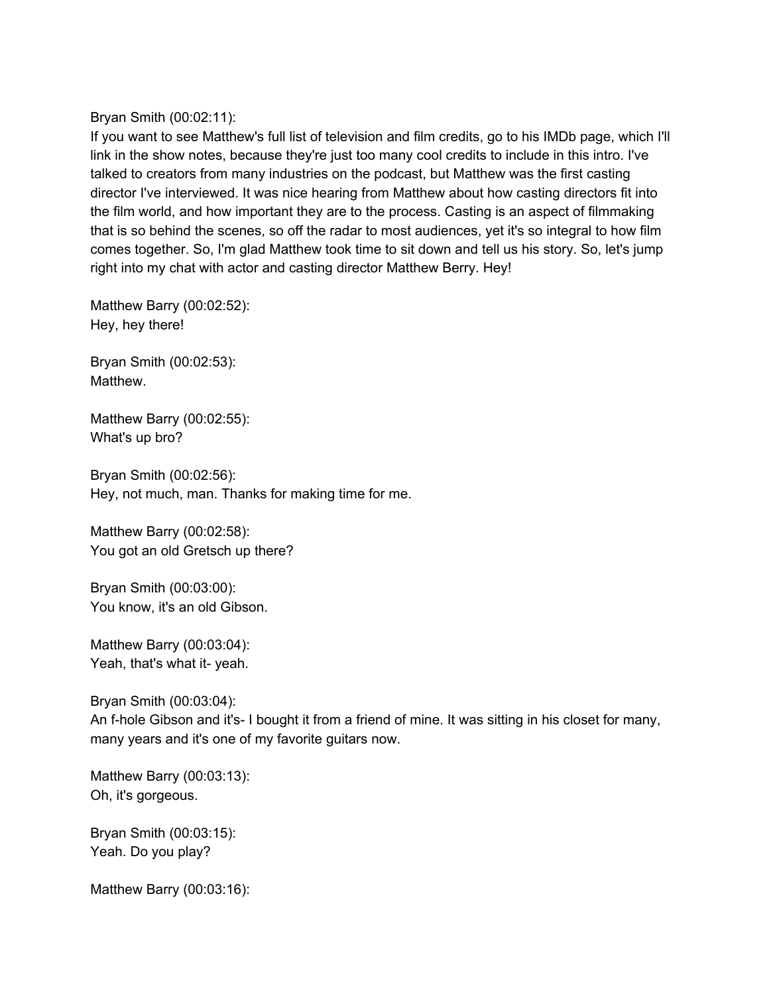Bryan Smith (00:02:11):

If you want to see Matthew's full list of television and film credits, go to his IMDb page, which I'll link in the show notes, because they're just too many cool credits to include in this intro. I've talked to creators from many industries on the podcast, but Matthew was the first casting director I've interviewed. It was nice hearing from Matthew about how casting directors fit into the film world, and how important they are to the process. Casting is an aspect of filmmaking that is so behind the scenes, so off the radar to most audiences, yet it's so integral to how film comes together. So, I'm glad Matthew took time to sit down and tell us his story. So, let's jump right into my chat with actor and casting director Matthew Berry. Hey!

Matthew Barry (00:02:52): Hey, hey there!

Bryan Smith (00:02:53): Matthew.

Matthew Barry (00:02:55): What's up bro?

Bryan Smith (00:02:56): Hey, not much, man. Thanks for making time for me.

Matthew Barry (00:02:58): You got an old Gretsch up there?

Bryan Smith (00:03:00): You know, it's an old Gibson.

Matthew Barry (00:03:04): Yeah, that's what it- yeah.

Bryan Smith (00:03:04): An f-hole Gibson and it's- I bought it from a friend of mine. It was sitting in his closet for many, many years and it's one of my favorite guitars now.

Matthew Barry (00:03:13): Oh, it's gorgeous.

Bryan Smith (00:03:15): Yeah. Do you play?

Matthew Barry (00:03:16):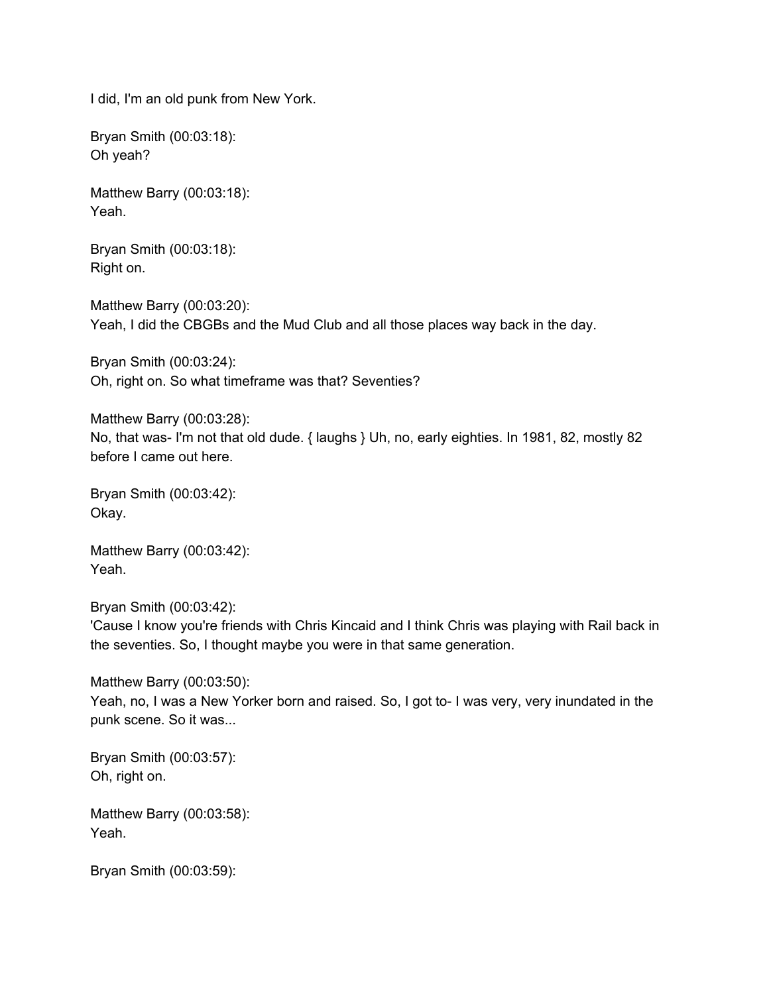I did, I'm an old punk from New York.

Bryan Smith (00:03:18): Oh yeah?

Matthew Barry (00:03:18): Yeah.

Bryan Smith (00:03:18): Right on.

Matthew Barry (00:03:20): Yeah, I did the CBGBs and the Mud Club and all those places way back in the day.

Bryan Smith (00:03:24): Oh, right on. So what timeframe was that? Seventies?

Matthew Barry (00:03:28): No, that was- I'm not that old dude. { laughs } Uh, no, early eighties. In 1981, 82, mostly 82 before I came out here.

Bryan Smith (00:03:42): Okay.

Matthew Barry (00:03:42): Yeah.

Bryan Smith (00:03:42): 'Cause I know you're friends with Chris Kincaid and I think Chris was playing with Rail back in the seventies. So, I thought maybe you were in that same generation.

Matthew Barry (00:03:50): Yeah, no, I was a New Yorker born and raised. So, I got to- I was very, very inundated in the punk scene. So it was...

Bryan Smith (00:03:57): Oh, right on.

Matthew Barry (00:03:58): Yeah.

Bryan Smith (00:03:59):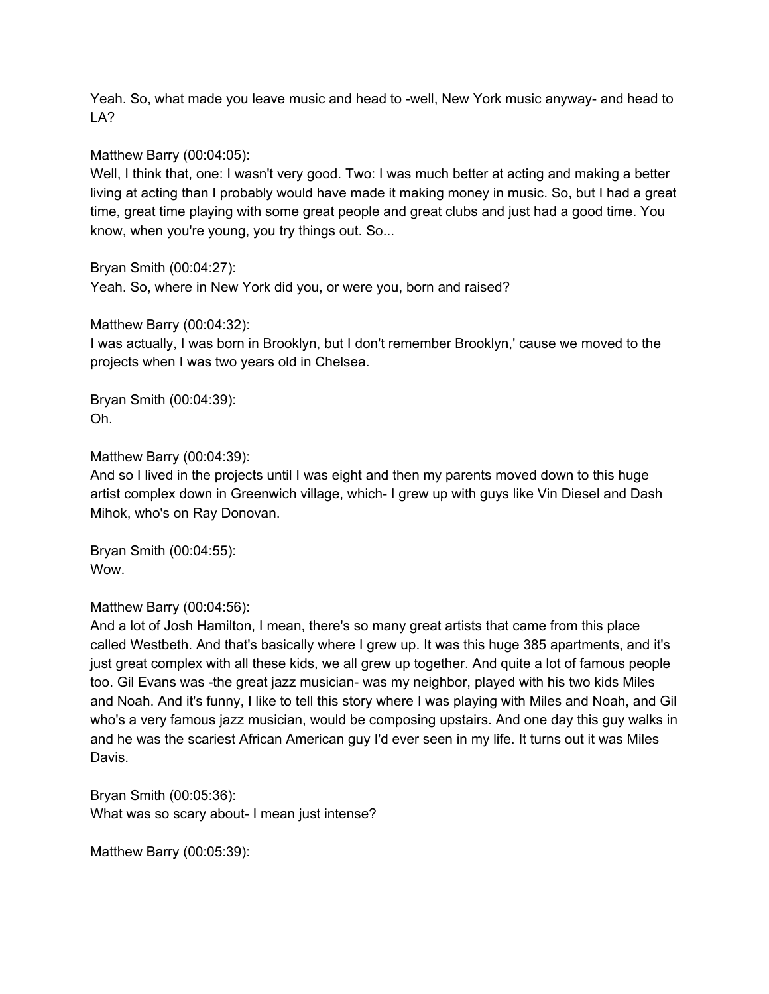Yeah. So, what made you leave music and head to -well, New York music anyway- and head to LA?

## Matthew Barry (00:04:05):

Well, I think that, one: I wasn't very good. Two: I was much better at acting and making a better living at acting than I probably would have made it making money in music. So, but I had a great time, great time playing with some great people and great clubs and just had a good time. You know, when you're young, you try things out. So...

Bryan Smith (00:04:27):

Yeah. So, where in New York did you, or were you, born and raised?

Matthew Barry (00:04:32):

I was actually, I was born in Brooklyn, but I don't remember Brooklyn,' cause we moved to the projects when I was two years old in Chelsea.

Bryan Smith (00:04:39): Oh.

Matthew Barry (00:04:39):

And so I lived in the projects until I was eight and then my parents moved down to this huge artist complex down in Greenwich village, which- I grew up with guys like Vin Diesel and Dash Mihok, who's on Ray Donovan.

Bryan Smith (00:04:55): Wow.

Matthew Barry (00:04:56):

And a lot of Josh Hamilton, I mean, there's so many great artists that came from this place called Westbeth. And that's basically where I grew up. It was this huge 385 apartments, and it's just great complex with all these kids, we all grew up together. And quite a lot of famous people too. Gil Evans was -the great jazz musician- was my neighbor, played with his two kids Miles and Noah. And it's funny, I like to tell this story where I was playing with Miles and Noah, and Gil who's a very famous jazz musician, would be composing upstairs. And one day this guy walks in and he was the scariest African American guy I'd ever seen in my life. It turns out it was Miles Davis.

Bryan Smith (00:05:36): What was so scary about- I mean just intense?

Matthew Barry (00:05:39):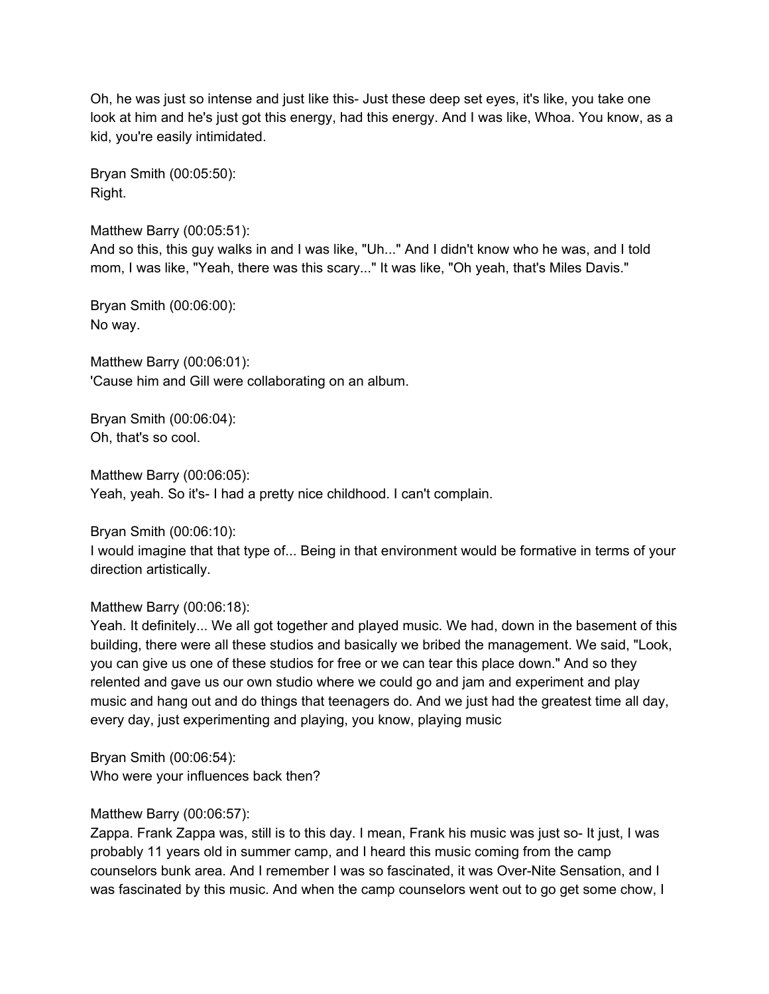Oh, he was just so intense and just like this- Just these deep set eyes, it's like, you take one look at him and he's just got this energy, had this energy. And I was like, Whoa. You know, as a kid, you're easily intimidated.

Bryan Smith (00:05:50): Right.

Matthew Barry (00:05:51): And so this, this guy walks in and I was like, "Uh..." And I didn't know who he was, and I told mom, I was like, "Yeah, there was this scary..." It was like, "Oh yeah, that's Miles Davis."

Bryan Smith (00:06:00): No way.

Matthew Barry (00:06:01): 'Cause him and Gill were collaborating on an album.

Bryan Smith (00:06:04): Oh, that's so cool.

Matthew Barry (00:06:05): Yeah, yeah. So it's- I had a pretty nice childhood. I can't complain.

Bryan Smith (00:06:10):

I would imagine that that type of... Being in that environment would be formative in terms of your direction artistically.

Matthew Barry (00:06:18):

Yeah. It definitely... We all got together and played music. We had, down in the basement of this building, there were all these studios and basically we bribed the management. We said, "Look, you can give us one of these studios for free or we can tear this place down." And so they relented and gave us our own studio where we could go and jam and experiment and play music and hang out and do things that teenagers do. And we just had the greatest time all day, every day, just experimenting and playing, you know, playing music

Bryan Smith (00:06:54): Who were your influences back then?

# Matthew Barry (00:06:57):

Zappa. Frank Zappa was, still is to this day. I mean, Frank his music was just so- It just, I was probably 11 years old in summer camp, and I heard this music coming from the camp counselors bunk area. And I remember I was so fascinated, it was Over-Nite Sensation, and I was fascinated by this music. And when the camp counselors went out to go get some chow, I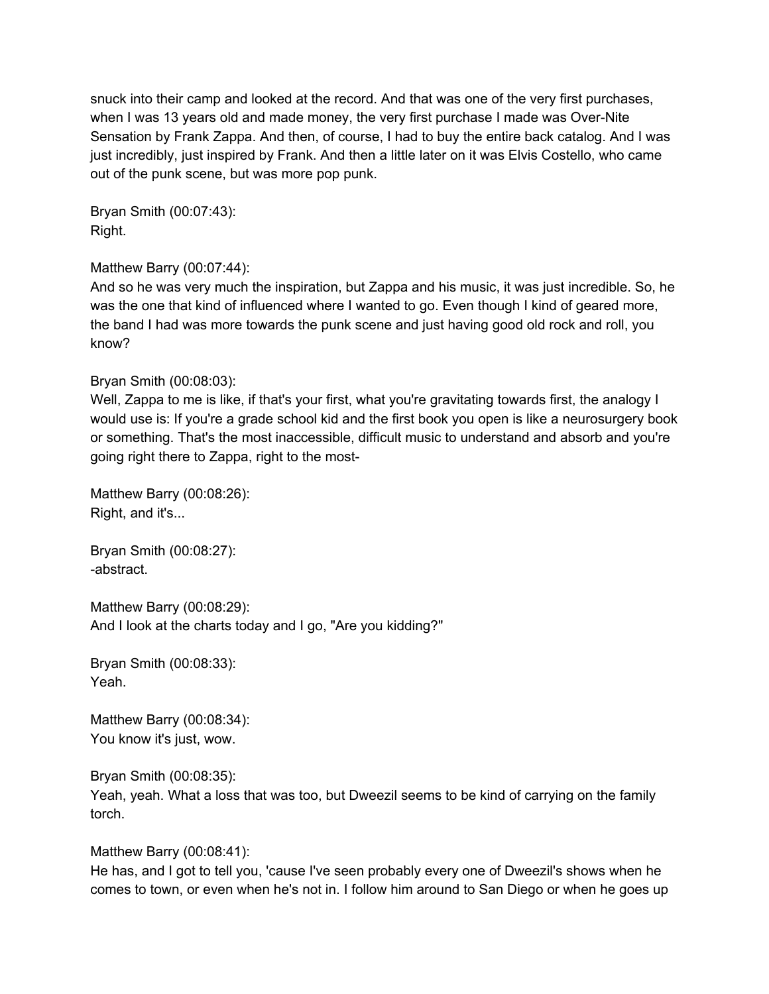snuck into their camp and looked at the record. And that was one of the very first purchases, when I was 13 years old and made money, the very first purchase I made was Over-Nite Sensation by Frank Zappa. And then, of course, I had to buy the entire back catalog. And I was just incredibly, just inspired by Frank. And then a little later on it was Elvis Costello, who came out of the punk scene, but was more pop punk.

Bryan Smith (00:07:43): Right.

# Matthew Barry (00:07:44):

And so he was very much the inspiration, but Zappa and his music, it was just incredible. So, he was the one that kind of influenced where I wanted to go. Even though I kind of geared more, the band I had was more towards the punk scene and just having good old rock and roll, you know?

# Bryan Smith (00:08:03):

Well, Zappa to me is like, if that's your first, what you're gravitating towards first, the analogy I would use is: If you're a grade school kid and the first book you open is like a neurosurgery book or something. That's the most inaccessible, difficult music to understand and absorb and you're going right there to Zappa, right to the most-

Matthew Barry (00:08:26): Right, and it's...

Bryan Smith (00:08:27): -abstract.

Matthew Barry (00:08:29): And I look at the charts today and I go, "Are you kidding?"

Bryan Smith (00:08:33): Yeah.

Matthew Barry (00:08:34): You know it's just, wow.

Bryan Smith (00:08:35): Yeah, yeah. What a loss that was too, but Dweezil seems to be kind of carrying on the family torch.

Matthew Barry (00:08:41):

He has, and I got to tell you, 'cause I've seen probably every one of Dweezil's shows when he comes to town, or even when he's not in. I follow him around to San Diego or when he goes up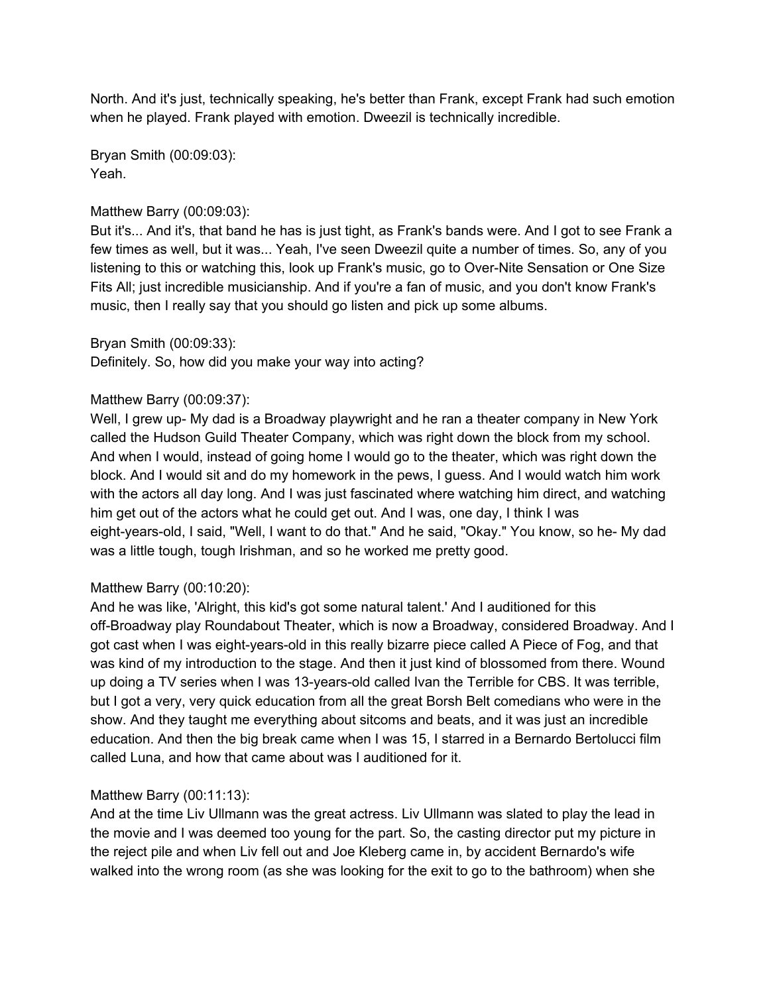North. And it's just, technically speaking, he's better than Frank, except Frank had such emotion when he played. Frank played with emotion. Dweezil is technically incredible.

Bryan Smith (00:09:03): Yeah.

## Matthew Barry (00:09:03):

But it's... And it's, that band he has is just tight, as Frank's bands were. And I got to see Frank a few times as well, but it was... Yeah, I've seen Dweezil quite a number of times. So, any of you listening to this or watching this, look up Frank's music, go to Over-Nite Sensation or One Size Fits All; just incredible musicianship. And if you're a fan of music, and you don't know Frank's music, then I really say that you should go listen and pick up some albums.

## Bryan Smith (00:09:33):

Definitely. So, how did you make your way into acting?

## Matthew Barry (00:09:37):

Well, I grew up- My dad is a Broadway playwright and he ran a theater company in New York called the Hudson Guild Theater Company, which was right down the block from my school. And when I would, instead of going home I would go to the theater, which was right down the block. And I would sit and do my homework in the pews, I guess. And I would watch him work with the actors all day long. And I was just fascinated where watching him direct, and watching him get out of the actors what he could get out. And I was, one day, I think I was eight-years-old, I said, "Well, I want to do that." And he said, "Okay." You know, so he- My dad was a little tough, tough Irishman, and so he worked me pretty good.

# Matthew Barry (00:10:20):

And he was like, 'Alright, this kid's got some natural talent.' And I auditioned for this off-Broadway play Roundabout Theater, which is now a Broadway, considered Broadway. And I got cast when I was eight-years-old in this really bizarre piece called A Piece of Fog, and that was kind of my introduction to the stage. And then it just kind of blossomed from there. Wound up doing a TV series when I was 13-years-old called Ivan the Terrible for CBS. It was terrible, but I got a very, very quick education from all the great Borsh Belt comedians who were in the show. And they taught me everything about sitcoms and beats, and it was just an incredible education. And then the big break came when I was 15, I starred in a Bernardo Bertolucci film called Luna, and how that came about was I auditioned for it.

## Matthew Barry (00:11:13):

And at the time Liv Ullmann was the great actress. Liv Ullmann was slated to play the lead in the movie and I was deemed too young for the part. So, the casting director put my picture in the reject pile and when Liv fell out and Joe Kleberg came in, by accident Bernardo's wife walked into the wrong room (as she was looking for the exit to go to the bathroom) when she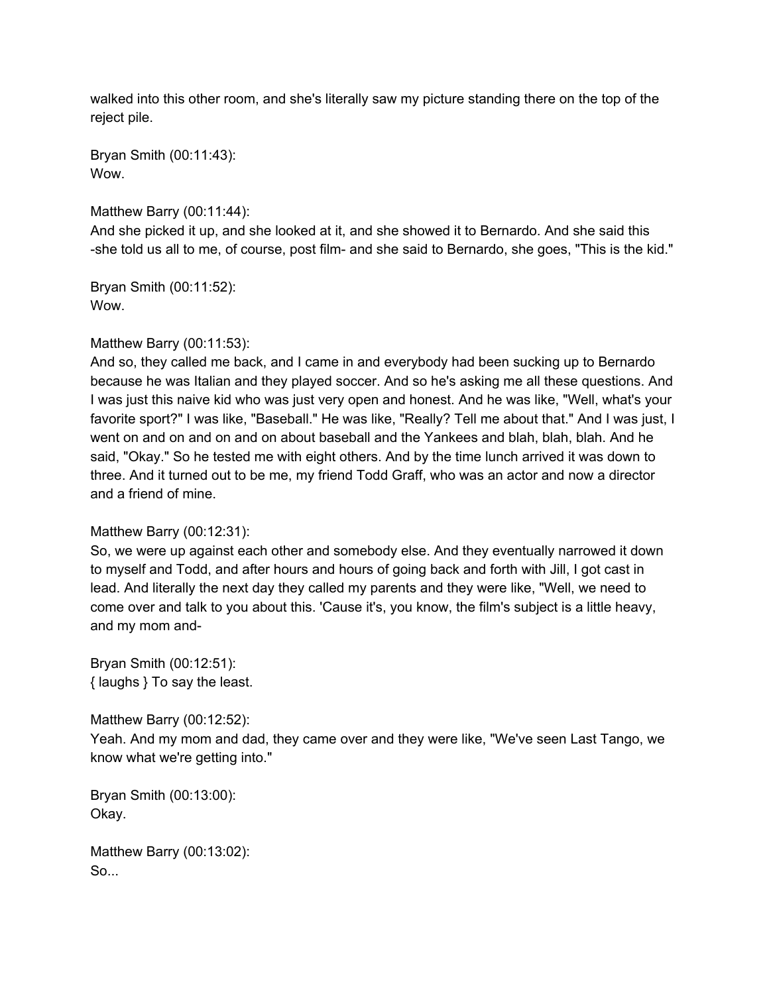walked into this other room, and she's literally saw my picture standing there on the top of the reject pile.

Bryan Smith (00:11:43): Wow.

Matthew Barry (00:11:44):

And she picked it up, and she looked at it, and she showed it to Bernardo. And she said this -she told us all to me, of course, post film- and she said to Bernardo, she goes, "This is the kid."

Bryan Smith (00:11:52): Wow.

# Matthew Barry (00:11:53):

And so, they called me back, and I came in and everybody had been sucking up to Bernardo because he was Italian and they played soccer. And so he's asking me all these questions. And I was just this naive kid who was just very open and honest. And he was like, "Well, what's your favorite sport?" I was like, "Baseball." He was like, "Really? Tell me about that." And I was just, I went on and on and on and on about baseball and the Yankees and blah, blah, blah. And he said, "Okay." So he tested me with eight others. And by the time lunch arrived it was down to three. And it turned out to be me, my friend Todd Graff, who was an actor and now a director and a friend of mine.

# Matthew Barry (00:12:31):

So, we were up against each other and somebody else. And they eventually narrowed it down to myself and Todd, and after hours and hours of going back and forth with Jill, I got cast in lead. And literally the next day they called my parents and they were like, "Well, we need to come over and talk to you about this. 'Cause it's, you know, the film's subject is a little heavy, and my mom and-

Bryan Smith (00:12:51): { laughs } To say the least.

Matthew Barry (00:12:52):

Yeah. And my mom and dad, they came over and they were like, "We've seen Last Tango, we know what we're getting into."

Bryan Smith (00:13:00): Okay.

Matthew Barry (00:13:02): So...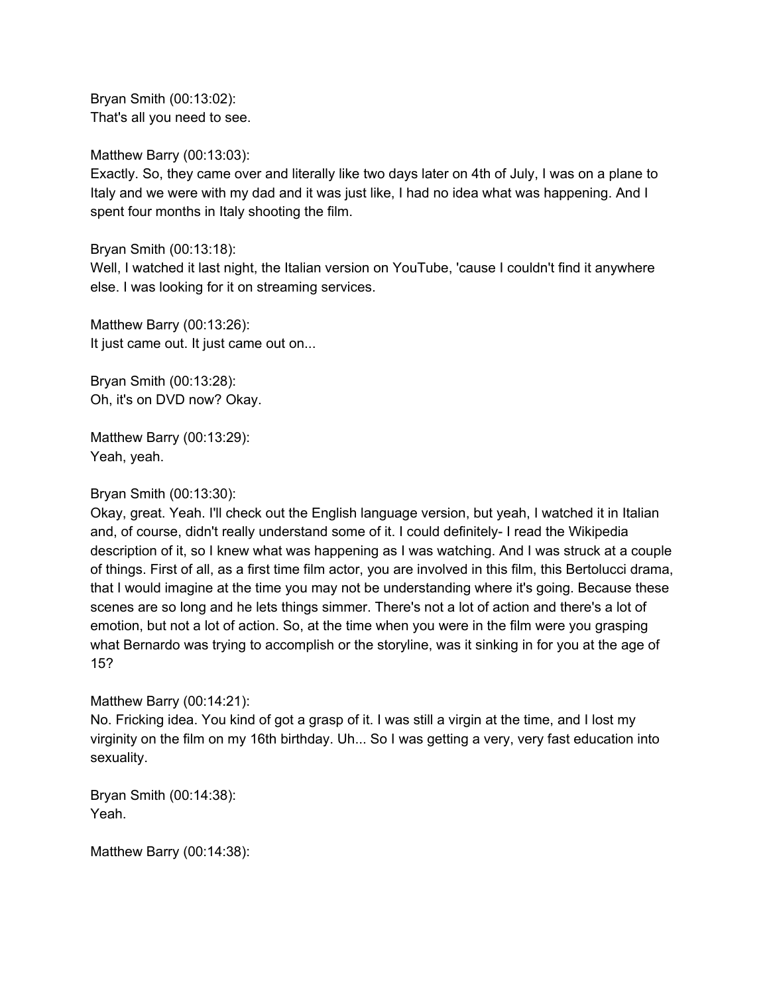Bryan Smith (00:13:02): That's all you need to see.

Matthew Barry (00:13:03):

Exactly. So, they came over and literally like two days later on 4th of July, I was on a plane to Italy and we were with my dad and it was just like, I had no idea what was happening. And I spent four months in Italy shooting the film.

Bryan Smith (00:13:18):

Well, I watched it last night, the Italian version on YouTube, 'cause I couldn't find it anywhere else. I was looking for it on streaming services.

Matthew Barry (00:13:26): It just came out. It just came out on...

Bryan Smith (00:13:28): Oh, it's on DVD now? Okay.

Matthew Barry (00:13:29): Yeah, yeah.

Bryan Smith (00:13:30):

Okay, great. Yeah. I'll check out the English language version, but yeah, I watched it in Italian and, of course, didn't really understand some of it. I could definitely- I read the Wikipedia description of it, so I knew what was happening as I was watching. And I was struck at a couple of things. First of all, as a first time film actor, you are involved in this film, this Bertolucci drama, that I would imagine at the time you may not be understanding where it's going. Because these scenes are so long and he lets things simmer. There's not a lot of action and there's a lot of emotion, but not a lot of action. So, at the time when you were in the film were you grasping what Bernardo was trying to accomplish or the storyline, was it sinking in for you at the age of 15?

Matthew Barry (00:14:21):

No. Fricking idea. You kind of got a grasp of it. I was still a virgin at the time, and I lost my virginity on the film on my 16th birthday. Uh... So I was getting a very, very fast education into sexuality.

Bryan Smith (00:14:38): Yeah.

Matthew Barry (00:14:38):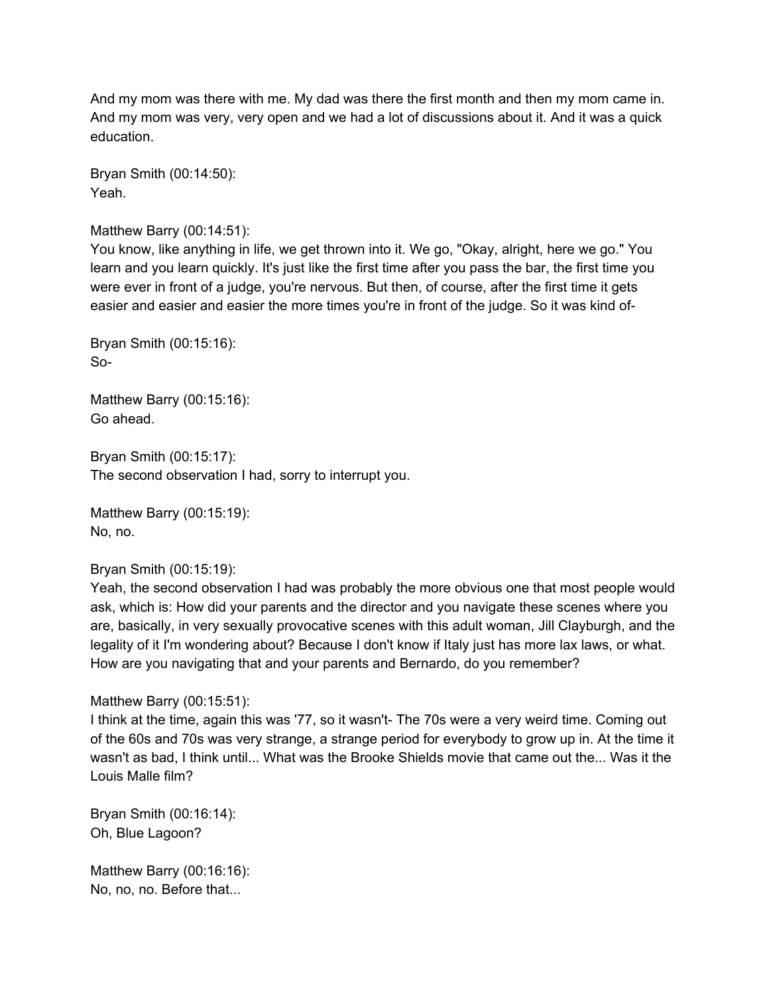And my mom was there with me. My dad was there the first month and then my mom came in. And my mom was very, very open and we had a lot of discussions about it. And it was a quick education.

Bryan Smith (00:14:50): Yeah.

## Matthew Barry (00:14:51):

You know, like anything in life, we get thrown into it. We go, "Okay, alright, here we go." You learn and you learn quickly. It's just like the first time after you pass the bar, the first time you were ever in front of a judge, you're nervous. But then, of course, after the first time it gets easier and easier and easier the more times you're in front of the judge. So it was kind of-

Bryan Smith (00:15:16): So-

Matthew Barry (00:15:16): Go ahead.

Bryan Smith (00:15:17): The second observation I had, sorry to interrupt you.

Matthew Barry (00:15:19): No, no.

Bryan Smith (00:15:19):

Yeah, the second observation I had was probably the more obvious one that most people would ask, which is: How did your parents and the director and you navigate these scenes where you are, basically, in very sexually provocative scenes with this adult woman, Jill Clayburgh, and the legality of it I'm wondering about? Because I don't know if Italy just has more lax laws, or what. How are you navigating that and your parents and Bernardo, do you remember?

## Matthew Barry (00:15:51):

I think at the time, again this was '77, so it wasn't- The 70s were a very weird time. Coming out of the 60s and 70s was very strange, a strange period for everybody to grow up in. At the time it wasn't as bad, I think until... What was the Brooke Shields movie that came out the... Was it the Louis Malle film?

Bryan Smith (00:16:14): Oh, Blue Lagoon?

Matthew Barry (00:16:16): No, no, no. Before that...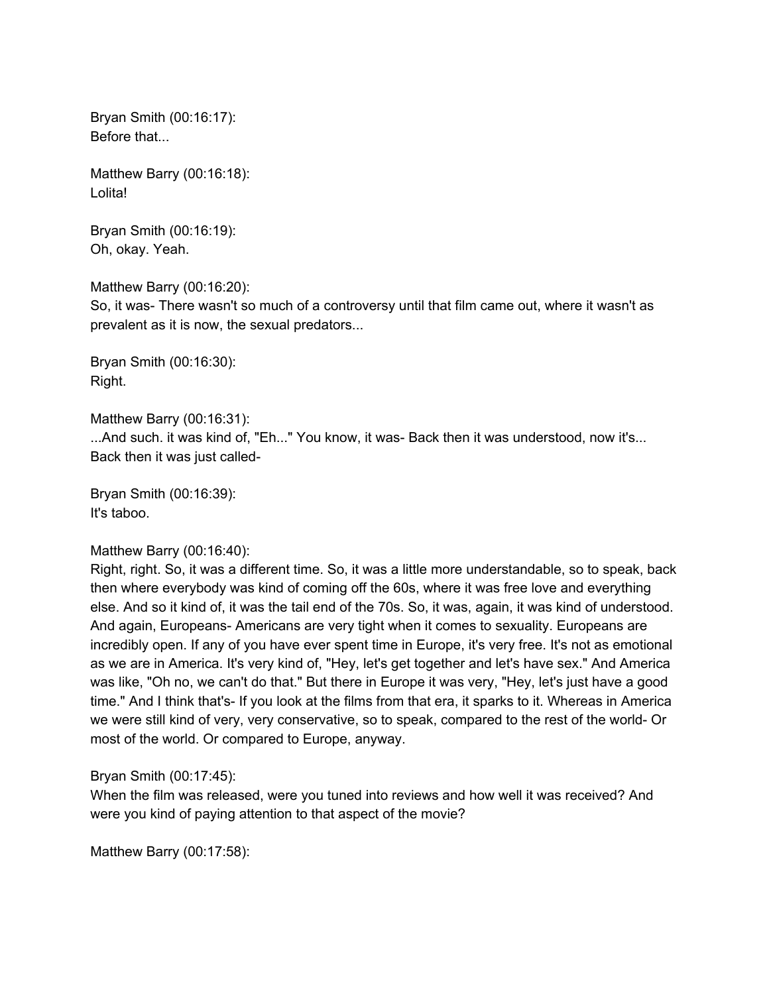Bryan Smith (00:16:17): Before that...

Matthew Barry (00:16:18): Lolita!

Bryan Smith (00:16:19): Oh, okay. Yeah.

Matthew Barry (00:16:20):

So, it was- There wasn't so much of a controversy until that film came out, where it wasn't as prevalent as it is now, the sexual predators...

Bryan Smith (00:16:30): Right.

Matthew Barry (00:16:31): ...And such. it was kind of, "Eh..." You know, it was- Back then it was understood, now it's... Back then it was just called-

Bryan Smith (00:16:39): It's taboo.

## Matthew Barry (00:16:40):

Right, right. So, it was a different time. So, it was a little more understandable, so to speak, back then where everybody was kind of coming off the 60s, where it was free love and everything else. And so it kind of, it was the tail end of the 70s. So, it was, again, it was kind of understood. And again, Europeans- Americans are very tight when it comes to sexuality. Europeans are incredibly open. If any of you have ever spent time in Europe, it's very free. It's not as emotional as we are in America. It's very kind of, "Hey, let's get together and let's have sex." And America was like, "Oh no, we can't do that." But there in Europe it was very, "Hey, let's just have a good time." And I think that's- If you look at the films from that era, it sparks to it. Whereas in America we were still kind of very, very conservative, so to speak, compared to the rest of the world- Or most of the world. Or compared to Europe, anyway.

Bryan Smith (00:17:45):

When the film was released, were you tuned into reviews and how well it was received? And were you kind of paying attention to that aspect of the movie?

Matthew Barry (00:17:58):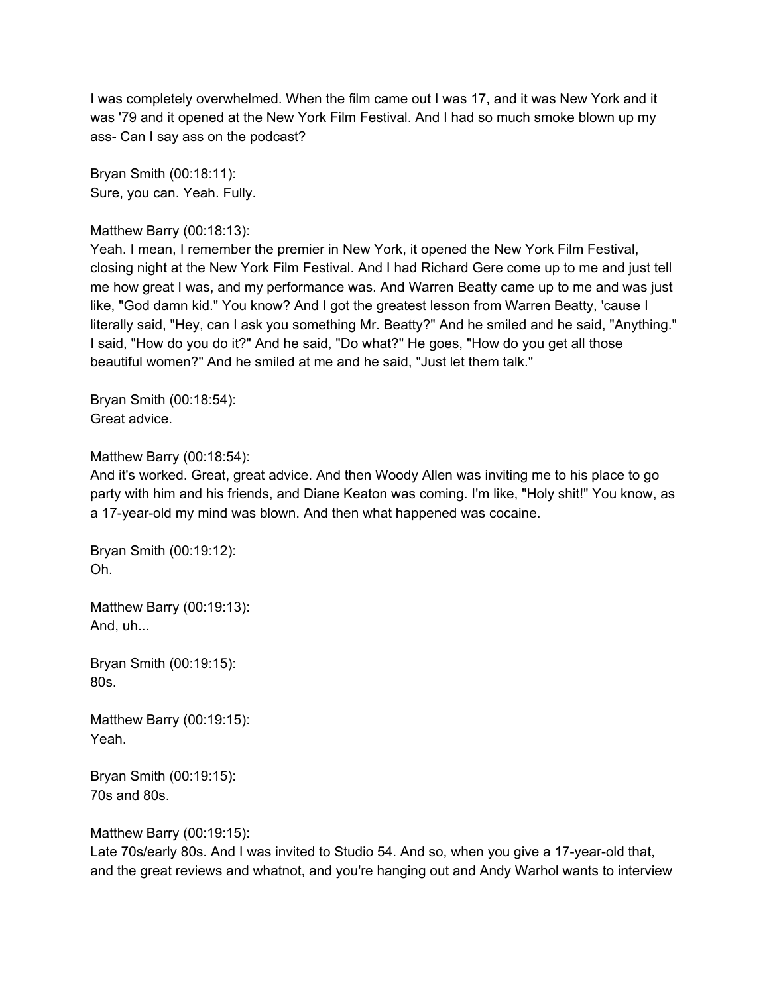I was completely overwhelmed. When the film came out I was 17, and it was New York and it was '79 and it opened at the New York Film Festival. And I had so much smoke blown up my ass- Can I say ass on the podcast?

Bryan Smith (00:18:11): Sure, you can. Yeah. Fully.

## Matthew Barry (00:18:13):

Yeah. I mean, I remember the premier in New York, it opened the New York Film Festival, closing night at the New York Film Festival. And I had Richard Gere come up to me and just tell me how great I was, and my performance was. And Warren Beatty came up to me and was just like, "God damn kid." You know? And I got the greatest lesson from Warren Beatty, 'cause I literally said, "Hey, can I ask you something Mr. Beatty?" And he smiled and he said, "Anything." I said, "How do you do it?" And he said, "Do what?" He goes, "How do you get all those beautiful women?" And he smiled at me and he said, "Just let them talk."

Bryan Smith (00:18:54): Great advice.

#### Matthew Barry (00:18:54):

And it's worked. Great, great advice. And then Woody Allen was inviting me to his place to go party with him and his friends, and Diane Keaton was coming. I'm like, "Holy shit!" You know, as a 17-year-old my mind was blown. And then what happened was cocaine.

Bryan Smith (00:19:12): Oh.

Matthew Barry (00:19:13): And, uh...

Bryan Smith (00:19:15): 80s.

Matthew Barry (00:19:15): Yeah.

Bryan Smith (00:19:15): 70s and 80s.

Matthew Barry (00:19:15):

Late 70s/early 80s. And I was invited to Studio 54. And so, when you give a 17-year-old that, and the great reviews and whatnot, and you're hanging out and Andy Warhol wants to interview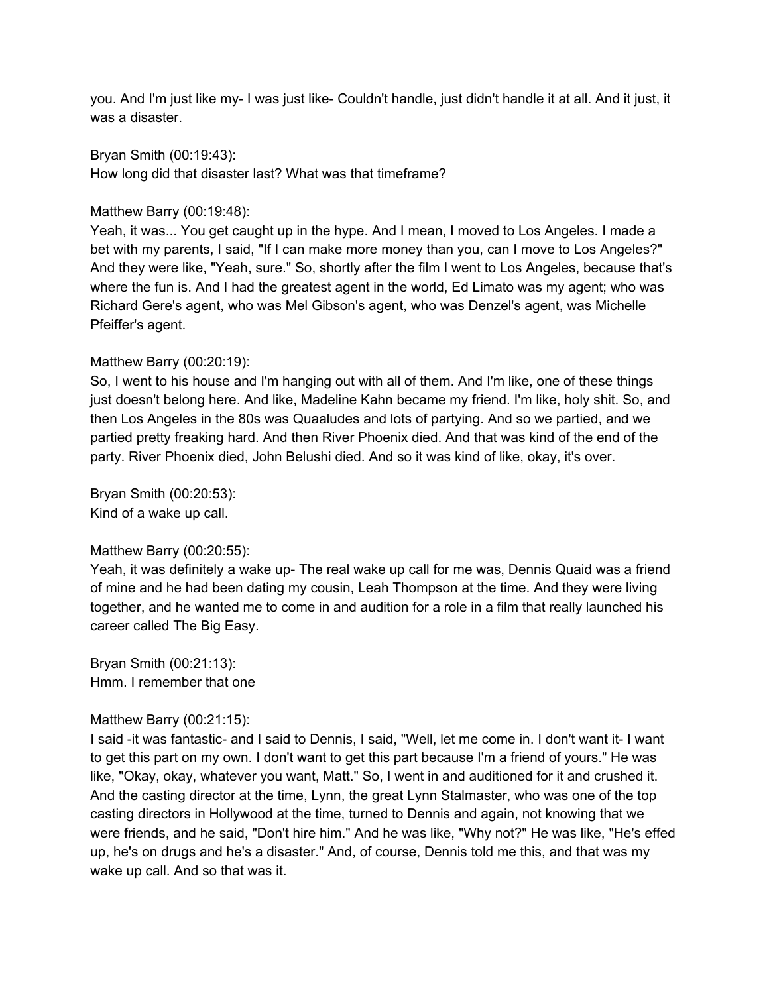you. And I'm just like my- I was just like- Couldn't handle, just didn't handle it at all. And it just, it was a disaster.

Bryan Smith (00:19:43): How long did that disaster last? What was that timeframe?

## Matthew Barry (00:19:48):

Yeah, it was... You get caught up in the hype. And I mean, I moved to Los Angeles. I made a bet with my parents, I said, "If I can make more money than you, can I move to Los Angeles?" And they were like, "Yeah, sure." So, shortly after the film I went to Los Angeles, because that's where the fun is. And I had the greatest agent in the world, Ed Limato was my agent; who was Richard Gere's agent, who was Mel Gibson's agent, who was Denzel's agent, was Michelle Pfeiffer's agent.

## Matthew Barry (00:20:19):

So, I went to his house and I'm hanging out with all of them. And I'm like, one of these things just doesn't belong here. And like, Madeline Kahn became my friend. I'm like, holy shit. So, and then Los Angeles in the 80s was Quaaludes and lots of partying. And so we partied, and we partied pretty freaking hard. And then River Phoenix died. And that was kind of the end of the party. River Phoenix died, John Belushi died. And so it was kind of like, okay, it's over.

Bryan Smith (00:20:53):

Kind of a wake up call.

# Matthew Barry (00:20:55):

Yeah, it was definitely a wake up- The real wake up call for me was, Dennis Quaid was a friend of mine and he had been dating my cousin, Leah Thompson at the time. And they were living together, and he wanted me to come in and audition for a role in a film that really launched his career called The Big Easy.

Bryan Smith (00:21:13): Hmm. I remember that one

## Matthew Barry (00:21:15):

I said -it was fantastic- and I said to Dennis, I said, "Well, let me come in. I don't want it- I want to get this part on my own. I don't want to get this part because I'm a friend of yours." He was like, "Okay, okay, whatever you want, Matt." So, I went in and auditioned for it and crushed it. And the casting director at the time, Lynn, the great Lynn Stalmaster, who was one of the top casting directors in Hollywood at the time, turned to Dennis and again, not knowing that we were friends, and he said, "Don't hire him." And he was like, "Why not?" He was like, "He's effed up, he's on drugs and he's a disaster." And, of course, Dennis told me this, and that was my wake up call. And so that was it.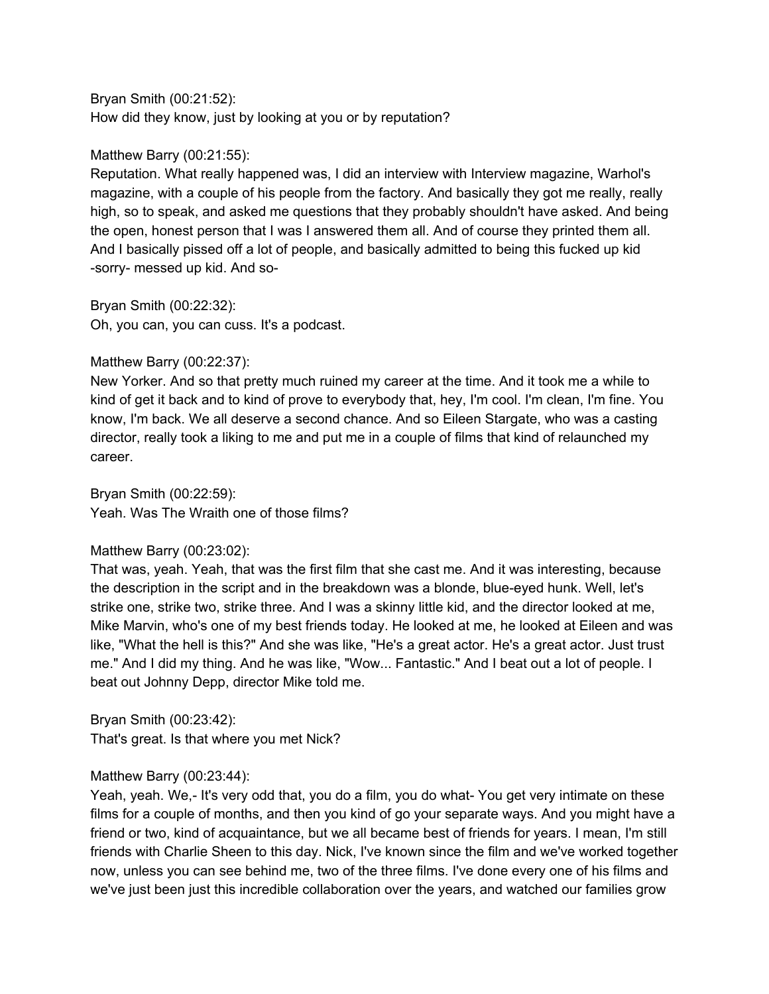#### Bryan Smith (00:21:52):

How did they know, just by looking at you or by reputation?

## Matthew Barry (00:21:55):

Reputation. What really happened was, I did an interview with Interview magazine, Warhol's magazine, with a couple of his people from the factory. And basically they got me really, really high, so to speak, and asked me questions that they probably shouldn't have asked. And being the open, honest person that I was I answered them all. And of course they printed them all. And I basically pissed off a lot of people, and basically admitted to being this fucked up kid -sorry- messed up kid. And so-

Bryan Smith (00:22:32):

Oh, you can, you can cuss. It's a podcast.

## Matthew Barry (00:22:37):

New Yorker. And so that pretty much ruined my career at the time. And it took me a while to kind of get it back and to kind of prove to everybody that, hey, I'm cool. I'm clean, I'm fine. You know, I'm back. We all deserve a second chance. And so Eileen Stargate, who was a casting director, really took a liking to me and put me in a couple of films that kind of relaunched my career.

Bryan Smith (00:22:59): Yeah. Was The Wraith one of those films?

## Matthew Barry (00:23:02):

That was, yeah. Yeah, that was the first film that she cast me. And it was interesting, because the description in the script and in the breakdown was a blonde, blue-eyed hunk. Well, let's strike one, strike two, strike three. And I was a skinny little kid, and the director looked at me, Mike Marvin, who's one of my best friends today. He looked at me, he looked at Eileen and was like, "What the hell is this?" And she was like, "He's a great actor. He's a great actor. Just trust me." And I did my thing. And he was like, "Wow... Fantastic." And I beat out a lot of people. I beat out Johnny Depp, director Mike told me.

Bryan Smith (00:23:42): That's great. Is that where you met Nick?

## Matthew Barry (00:23:44):

Yeah, yeah. We,- It's very odd that, you do a film, you do what- You get very intimate on these films for a couple of months, and then you kind of go your separate ways. And you might have a friend or two, kind of acquaintance, but we all became best of friends for years. I mean, I'm still friends with Charlie Sheen to this day. Nick, I've known since the film and we've worked together now, unless you can see behind me, two of the three films. I've done every one of his films and we've just been just this incredible collaboration over the years, and watched our families grow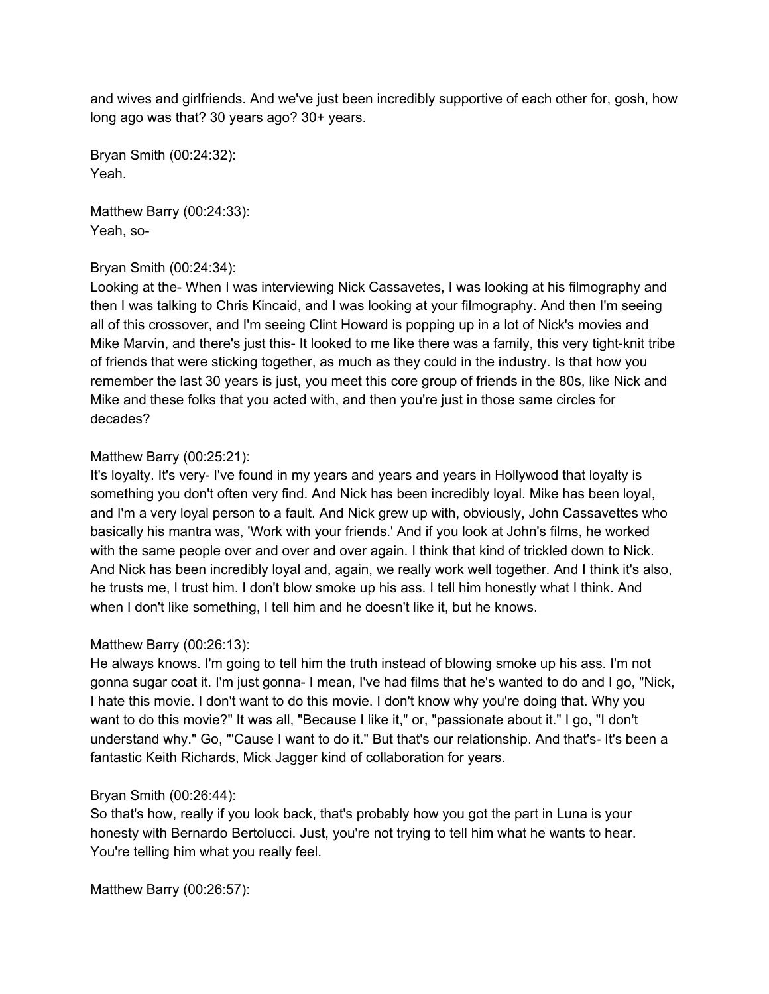and wives and girlfriends. And we've just been incredibly supportive of each other for, gosh, how long ago was that? 30 years ago? 30+ years.

Bryan Smith (00:24:32): Yeah.

Matthew Barry (00:24:33): Yeah, so-

## Bryan Smith (00:24:34):

Looking at the- When I was interviewing Nick Cassavetes, I was looking at his filmography and then I was talking to Chris Kincaid, and I was looking at your filmography. And then I'm seeing all of this crossover, and I'm seeing Clint Howard is popping up in a lot of Nick's movies and Mike Marvin, and there's just this- It looked to me like there was a family, this very tight-knit tribe of friends that were sticking together, as much as they could in the industry. Is that how you remember the last 30 years is just, you meet this core group of friends in the 80s, like Nick and Mike and these folks that you acted with, and then you're just in those same circles for decades?

## Matthew Barry (00:25:21):

It's loyalty. It's very- I've found in my years and years and years in Hollywood that loyalty is something you don't often very find. And Nick has been incredibly loyal. Mike has been loyal, and I'm a very loyal person to a fault. And Nick grew up with, obviously, John Cassavettes who basically his mantra was, 'Work with your friends.' And if you look at John's films, he worked with the same people over and over and over again. I think that kind of trickled down to Nick. And Nick has been incredibly loyal and, again, we really work well together. And I think it's also, he trusts me, I trust him. I don't blow smoke up his ass. I tell him honestly what I think. And when I don't like something, I tell him and he doesn't like it, but he knows.

# Matthew Barry (00:26:13):

He always knows. I'm going to tell him the truth instead of blowing smoke up his ass. I'm not gonna sugar coat it. I'm just gonna- I mean, I've had films that he's wanted to do and I go, "Nick, I hate this movie. I don't want to do this movie. I don't know why you're doing that. Why you want to do this movie?" It was all, "Because I like it," or, "passionate about it." I go, "I don't understand why." Go, "'Cause I want to do it." But that's our relationship. And that's- It's been a fantastic Keith Richards, Mick Jagger kind of collaboration for years.

## Bryan Smith (00:26:44):

So that's how, really if you look back, that's probably how you got the part in Luna is your honesty with Bernardo Bertolucci. Just, you're not trying to tell him what he wants to hear. You're telling him what you really feel.

Matthew Barry (00:26:57):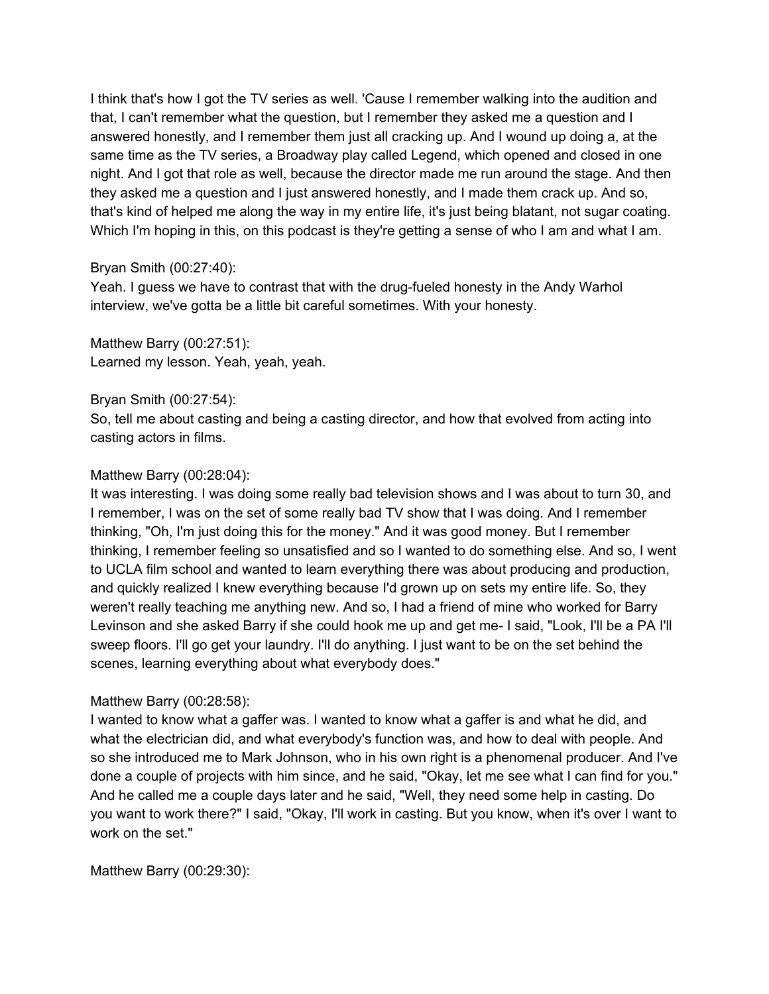I think that's how I got the TV series as well. 'Cause I remember walking into the audition and that, I can't remember what the question, but I remember they asked me a question and I answered honestly, and I remember them just all cracking up. And I wound up doing a, at the same time as the TV series, a Broadway play called Legend, which opened and closed in one night. And I got that role as well, because the director made me run around the stage. And then they asked me a question and I just answered honestly, and I made them crack up. And so, that's kind of helped me along the way in my entire life, it's just being blatant, not sugar coating. Which I'm hoping in this, on this podcast is they're getting a sense of who I am and what I am.

## Bryan Smith (00:27:40):

Yeah. I guess we have to contrast that with the drug-fueled honesty in the Andy Warhol interview, we've gotta be a little bit careful sometimes. With your honesty.

Matthew Barry (00:27:51): Learned my lesson. Yeah, yeah, yeah.

## Bryan Smith (00:27:54):

So, tell me about casting and being a casting director, and how that evolved from acting into casting actors in films.

## Matthew Barry (00:28:04):

It was interesting. I was doing some really bad television shows and I was about to turn 30, and I remember, I was on the set of some really bad TV show that I was doing. And I remember thinking, "Oh, I'm just doing this for the money." And it was good money. But I remember thinking, I remember feeling so unsatisfied and so I wanted to do something else. And so, I went to UCLA film school and wanted to learn everything there was about producing and production, and quickly realized I knew everything because I'd grown up on sets my entire life. So, they weren't really teaching me anything new. And so, I had a friend of mine who worked for Barry Levinson and she asked Barry if she could hook me up and get me- I said, "Look, I'll be a PA I'll sweep floors. I'll go get your laundry. I'll do anything. I just want to be on the set behind the scenes, learning everything about what everybody does."

## Matthew Barry (00:28:58):

I wanted to know what a gaffer was. I wanted to know what a gaffer is and what he did, and what the electrician did, and what everybody's function was, and how to deal with people. And so she introduced me to Mark Johnson, who in his own right is a phenomenal producer. And I've done a couple of projects with him since, and he said, "Okay, let me see what I can find for you." And he called me a couple days later and he said, "Well, they need some help in casting. Do you want to work there?" I said, "Okay, I'll work in casting. But you know, when it's over I want to work on the set."

Matthew Barry (00:29:30):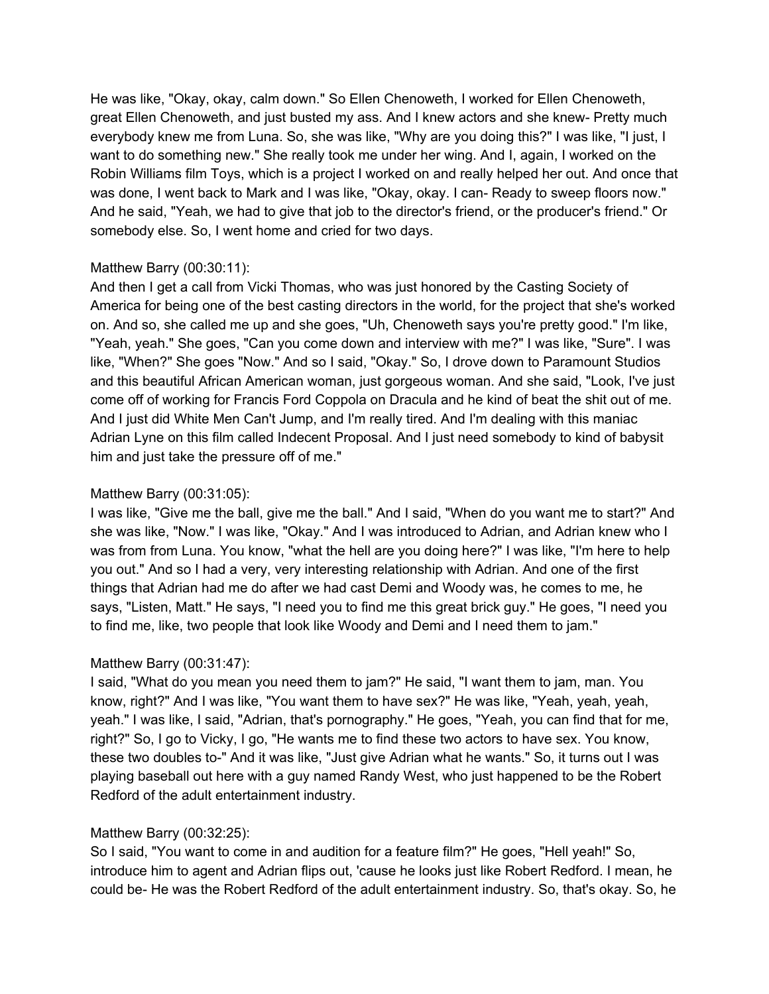He was like, "Okay, okay, calm down." So Ellen Chenoweth, I worked for Ellen Chenoweth, great Ellen Chenoweth, and just busted my ass. And I knew actors and she knew- Pretty much everybody knew me from Luna. So, she was like, "Why are you doing this?" I was like, "I just, I want to do something new." She really took me under her wing. And I, again, I worked on the Robin Williams film Toys, which is a project I worked on and really helped her out. And once that was done, I went back to Mark and I was like, "Okay, okay. I can- Ready to sweep floors now." And he said, "Yeah, we had to give that job to the director's friend, or the producer's friend." Or somebody else. So, I went home and cried for two days.

## Matthew Barry (00:30:11):

And then I get a call from Vicki Thomas, who was just honored by the Casting Society of America for being one of the best casting directors in the world, for the project that she's worked on. And so, she called me up and she goes, "Uh, Chenoweth says you're pretty good." I'm like, "Yeah, yeah." She goes, "Can you come down and interview with me?" I was like, "Sure". I was like, "When?" She goes "Now." And so I said, "Okay." So, I drove down to Paramount Studios and this beautiful African American woman, just gorgeous woman. And she said, "Look, I've just come off of working for Francis Ford Coppola on Dracula and he kind of beat the shit out of me. And I just did White Men Can't Jump, and I'm really tired. And I'm dealing with this maniac Adrian Lyne on this film called Indecent Proposal. And I just need somebody to kind of babysit him and just take the pressure off of me."

## Matthew Barry (00:31:05):

I was like, "Give me the ball, give me the ball." And I said, "When do you want me to start?" And she was like, "Now." I was like, "Okay." And I was introduced to Adrian, and Adrian knew who I was from from Luna. You know, "what the hell are you doing here?" I was like, "I'm here to help you out." And so I had a very, very interesting relationship with Adrian. And one of the first things that Adrian had me do after we had cast Demi and Woody was, he comes to me, he says, "Listen, Matt." He says, "I need you to find me this great brick guy." He goes, "I need you to find me, like, two people that look like Woody and Demi and I need them to jam."

## Matthew Barry (00:31:47):

I said, "What do you mean you need them to jam?" He said, "I want them to jam, man. You know, right?" And I was like, "You want them to have sex?" He was like, "Yeah, yeah, yeah, yeah." I was like, I said, "Adrian, that's pornography." He goes, "Yeah, you can find that for me, right?" So, I go to Vicky, I go, "He wants me to find these two actors to have sex. You know, these two doubles to-" And it was like, "Just give Adrian what he wants." So, it turns out I was playing baseball out here with a guy named Randy West, who just happened to be the Robert Redford of the adult entertainment industry.

# Matthew Barry (00:32:25):

So I said, "You want to come in and audition for a feature film?" He goes, "Hell yeah!" So, introduce him to agent and Adrian flips out, 'cause he looks just like Robert Redford. I mean, he could be- He was the Robert Redford of the adult entertainment industry. So, that's okay. So, he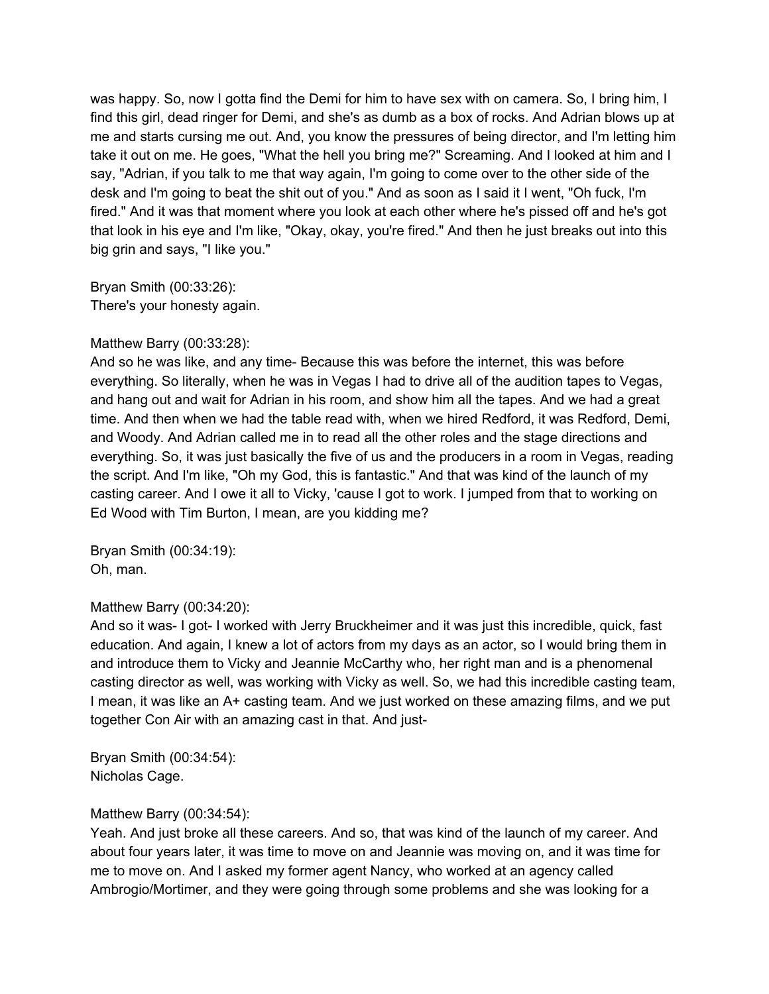was happy. So, now I gotta find the Demi for him to have sex with on camera. So, I bring him, I find this girl, dead ringer for Demi, and she's as dumb as a box of rocks. And Adrian blows up at me and starts cursing me out. And, you know the pressures of being director, and I'm letting him take it out on me. He goes, "What the hell you bring me?" Screaming. And I looked at him and I say, "Adrian, if you talk to me that way again, I'm going to come over to the other side of the desk and I'm going to beat the shit out of you." And as soon as I said it I went, "Oh fuck, I'm fired." And it was that moment where you look at each other where he's pissed off and he's got that look in his eye and I'm like, "Okay, okay, you're fired." And then he just breaks out into this big grin and says, "I like you."

Bryan Smith (00:33:26): There's your honesty again.

#### Matthew Barry (00:33:28):

And so he was like, and any time- Because this was before the internet, this was before everything. So literally, when he was in Vegas I had to drive all of the audition tapes to Vegas, and hang out and wait for Adrian in his room, and show him all the tapes. And we had a great time. And then when we had the table read with, when we hired Redford, it was Redford, Demi, and Woody. And Adrian called me in to read all the other roles and the stage directions and everything. So, it was just basically the five of us and the producers in a room in Vegas, reading the script. And I'm like, "Oh my God, this is fantastic." And that was kind of the launch of my casting career. And I owe it all to Vicky, 'cause I got to work. I jumped from that to working on Ed Wood with Tim Burton, I mean, are you kidding me?

Bryan Smith (00:34:19): Oh, man.

## Matthew Barry (00:34:20):

And so it was- I got- I worked with Jerry Bruckheimer and it was just this incredible, quick, fast education. And again, I knew a lot of actors from my days as an actor, so I would bring them in and introduce them to Vicky and Jeannie McCarthy who, her right man and is a phenomenal casting director as well, was working with Vicky as well. So, we had this incredible casting team, I mean, it was like an A+ casting team. And we just worked on these amazing films, and we put together Con Air with an amazing cast in that. And just-

Bryan Smith (00:34:54): Nicholas Cage.

## Matthew Barry (00:34:54):

Yeah. And just broke all these careers. And so, that was kind of the launch of my career. And about four years later, it was time to move on and Jeannie was moving on, and it was time for me to move on. And I asked my former agent Nancy, who worked at an agency called Ambrogio/Mortimer, and they were going through some problems and she was looking for a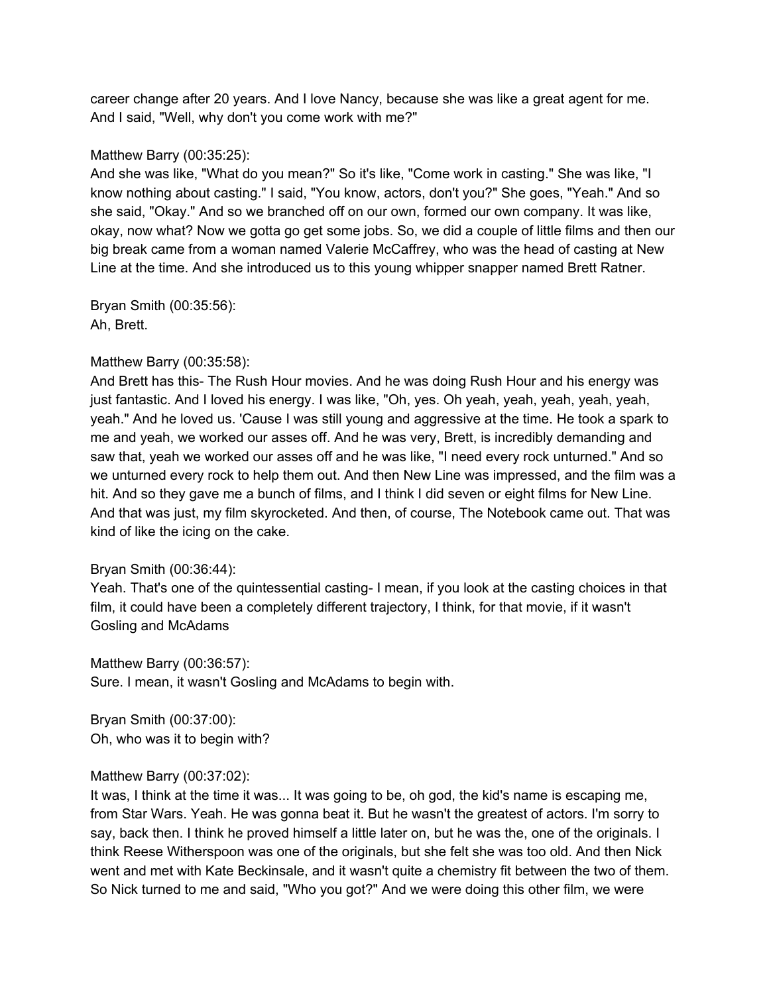career change after 20 years. And I love Nancy, because she was like a great agent for me. And I said, "Well, why don't you come work with me?"

#### Matthew Barry (00:35:25):

And she was like, "What do you mean?" So it's like, "Come work in casting." She was like, "I know nothing about casting." I said, "You know, actors, don't you?" She goes, "Yeah." And so she said, "Okay." And so we branched off on our own, formed our own company. It was like, okay, now what? Now we gotta go get some jobs. So, we did a couple of little films and then our big break came from a woman named Valerie McCaffrey, who was the head of casting at New Line at the time. And she introduced us to this young whipper snapper named Brett Ratner.

Bryan Smith (00:35:56): Ah, Brett.

#### Matthew Barry (00:35:58):

And Brett has this- The Rush Hour movies. And he was doing Rush Hour and his energy was just fantastic. And I loved his energy. I was like, "Oh, yes. Oh yeah, yeah, yeah, yeah, yeah, yeah." And he loved us. 'Cause I was still young and aggressive at the time. He took a spark to me and yeah, we worked our asses off. And he was very, Brett, is incredibly demanding and saw that, yeah we worked our asses off and he was like, "I need every rock unturned." And so we unturned every rock to help them out. And then New Line was impressed, and the film was a hit. And so they gave me a bunch of films, and I think I did seven or eight films for New Line. And that was just, my film skyrocketed. And then, of course, The Notebook came out. That was kind of like the icing on the cake.

#### Bryan Smith (00:36:44):

Yeah. That's one of the quintessential casting- I mean, if you look at the casting choices in that film, it could have been a completely different trajectory, I think, for that movie, if it wasn't Gosling and McAdams

Matthew Barry (00:36:57): Sure. I mean, it wasn't Gosling and McAdams to begin with.

Bryan Smith (00:37:00): Oh, who was it to begin with?

## Matthew Barry (00:37:02):

It was, I think at the time it was... It was going to be, oh god, the kid's name is escaping me, from Star Wars. Yeah. He was gonna beat it. But he wasn't the greatest of actors. I'm sorry to say, back then. I think he proved himself a little later on, but he was the, one of the originals. I think Reese Witherspoon was one of the originals, but she felt she was too old. And then Nick went and met with Kate Beckinsale, and it wasn't quite a chemistry fit between the two of them. So Nick turned to me and said, "Who you got?" And we were doing this other film, we were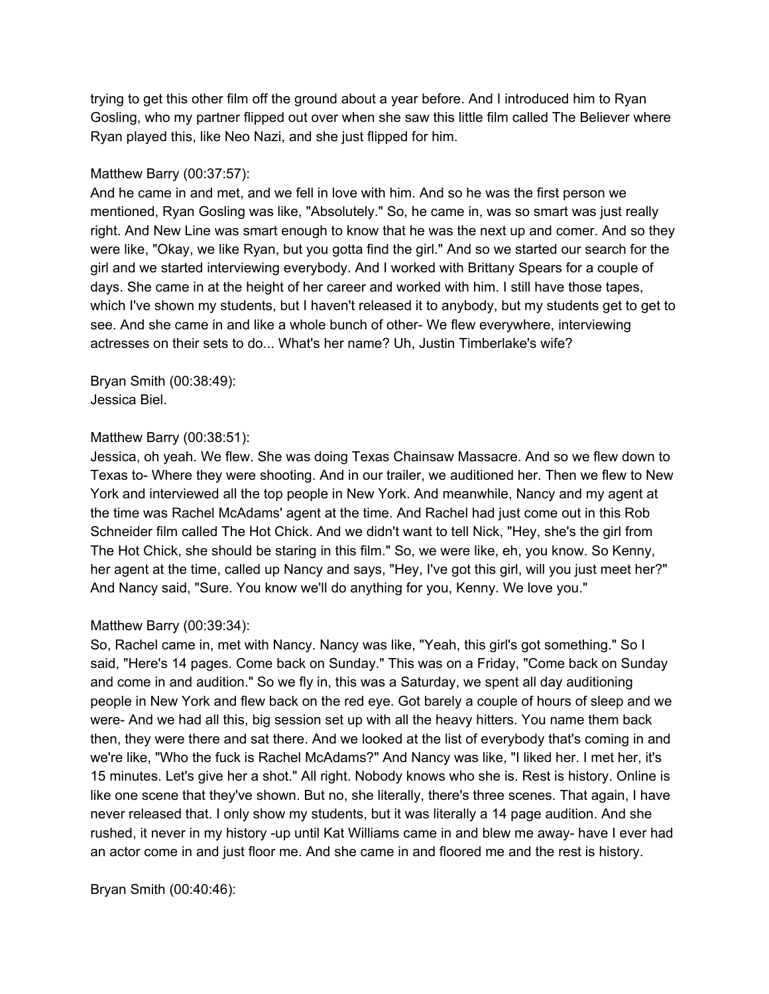trying to get this other film off the ground about a year before. And I introduced him to Ryan Gosling, who my partner flipped out over when she saw this little film called The Believer where Ryan played this, like Neo Nazi, and she just flipped for him.

## Matthew Barry (00:37:57):

And he came in and met, and we fell in love with him. And so he was the first person we mentioned, Ryan Gosling was like, "Absolutely." So, he came in, was so smart was just really right. And New Line was smart enough to know that he was the next up and comer. And so they were like, "Okay, we like Ryan, but you gotta find the girl." And so we started our search for the girl and we started interviewing everybody. And I worked with Brittany Spears for a couple of days. She came in at the height of her career and worked with him. I still have those tapes, which I've shown my students, but I haven't released it to anybody, but my students get to get to see. And she came in and like a whole bunch of other- We flew everywhere, interviewing actresses on their sets to do... What's her name? Uh, Justin Timberlake's wife?

Bryan Smith (00:38:49): Jessica Biel.

#### Matthew Barry (00:38:51):

Jessica, oh yeah. We flew. She was doing Texas Chainsaw Massacre. And so we flew down to Texas to- Where they were shooting. And in our trailer, we auditioned her. Then we flew to New York and interviewed all the top people in New York. And meanwhile, Nancy and my agent at the time was Rachel McAdams' agent at the time. And Rachel had just come out in this Rob Schneider film called The Hot Chick. And we didn't want to tell Nick, "Hey, she's the girl from The Hot Chick, she should be staring in this film." So, we were like, eh, you know. So Kenny, her agent at the time, called up Nancy and says, "Hey, I've got this girl, will you just meet her?" And Nancy said, "Sure. You know we'll do anything for you, Kenny. We love you."

## Matthew Barry (00:39:34):

So, Rachel came in, met with Nancy. Nancy was like, "Yeah, this girl's got something." So I said, "Here's 14 pages. Come back on Sunday." This was on a Friday, "Come back on Sunday and come in and audition." So we fly in, this was a Saturday, we spent all day auditioning people in New York and flew back on the red eye. Got barely a couple of hours of sleep and we were- And we had all this, big session set up with all the heavy hitters. You name them back then, they were there and sat there. And we looked at the list of everybody that's coming in and we're like, "Who the fuck is Rachel McAdams?" And Nancy was like, "I liked her. I met her, it's 15 minutes. Let's give her a shot." All right. Nobody knows who she is. Rest is history. Online is like one scene that they've shown. But no, she literally, there's three scenes. That again, I have never released that. I only show my students, but it was literally a 14 page audition. And she rushed, it never in my history -up until Kat Williams came in and blew me away- have I ever had an actor come in and just floor me. And she came in and floored me and the rest is history.

Bryan Smith (00:40:46):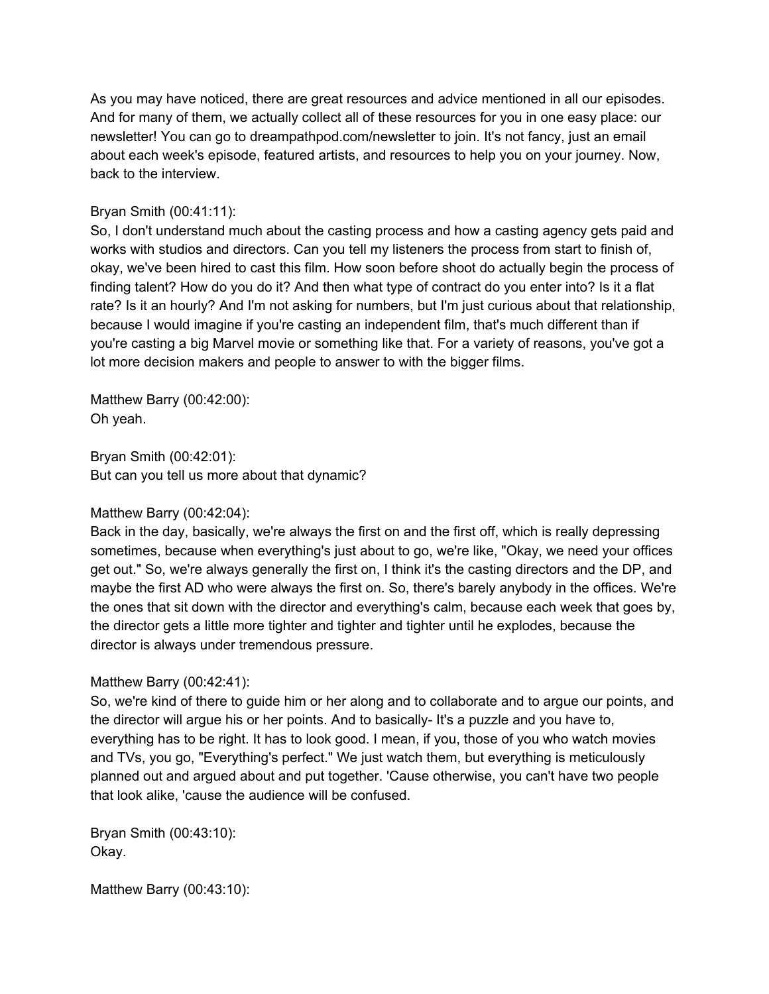As you may have noticed, there are great resources and advice mentioned in all our episodes. And for many of them, we actually collect all of these resources for you in one easy place: our newsletter! You can go to dreampathpod.com/newsletter to join. It's not fancy, just an email about each week's episode, featured artists, and resources to help you on your journey. Now, back to the interview.

# Bryan Smith (00:41:11):

So, I don't understand much about the casting process and how a casting agency gets paid and works with studios and directors. Can you tell my listeners the process from start to finish of, okay, we've been hired to cast this film. How soon before shoot do actually begin the process of finding talent? How do you do it? And then what type of contract do you enter into? Is it a flat rate? Is it an hourly? And I'm not asking for numbers, but I'm just curious about that relationship, because I would imagine if you're casting an independent film, that's much different than if you're casting a big Marvel movie or something like that. For a variety of reasons, you've got a lot more decision makers and people to answer to with the bigger films.

Matthew Barry (00:42:00): Oh yeah.

Bryan Smith (00:42:01): But can you tell us more about that dynamic?

## Matthew Barry (00:42:04):

Back in the day, basically, we're always the first on and the first off, which is really depressing sometimes, because when everything's just about to go, we're like, "Okay, we need your offices get out." So, we're always generally the first on, I think it's the casting directors and the DP, and maybe the first AD who were always the first on. So, there's barely anybody in the offices. We're the ones that sit down with the director and everything's calm, because each week that goes by, the director gets a little more tighter and tighter and tighter until he explodes, because the director is always under tremendous pressure.

## Matthew Barry (00:42:41):

So, we're kind of there to guide him or her along and to collaborate and to argue our points, and the director will argue his or her points. And to basically- It's a puzzle and you have to, everything has to be right. It has to look good. I mean, if you, those of you who watch movies and TVs, you go, "Everything's perfect." We just watch them, but everything is meticulously planned out and argued about and put together. 'Cause otherwise, you can't have two people that look alike, 'cause the audience will be confused.

Bryan Smith (00:43:10): Okay.

Matthew Barry (00:43:10):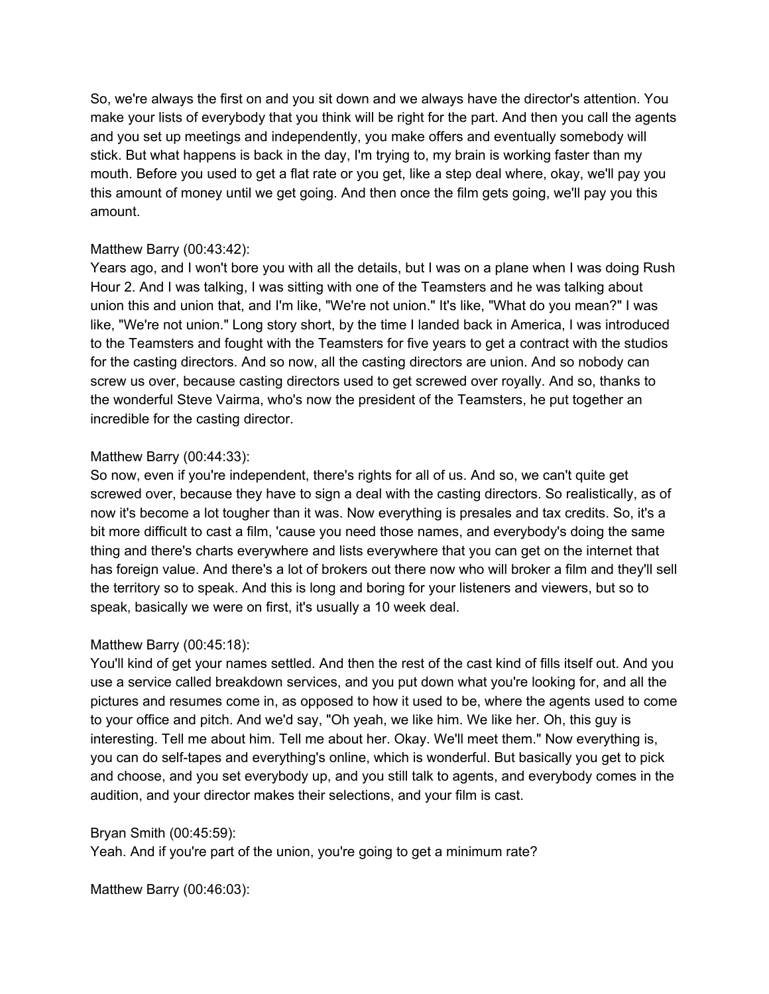So, we're always the first on and you sit down and we always have the director's attention. You make your lists of everybody that you think will be right for the part. And then you call the agents and you set up meetings and independently, you make offers and eventually somebody will stick. But what happens is back in the day, I'm trying to, my brain is working faster than my mouth. Before you used to get a flat rate or you get, like a step deal where, okay, we'll pay you this amount of money until we get going. And then once the film gets going, we'll pay you this amount.

## Matthew Barry (00:43:42):

Years ago, and I won't bore you with all the details, but I was on a plane when I was doing Rush Hour 2. And I was talking, I was sitting with one of the Teamsters and he was talking about union this and union that, and I'm like, "We're not union." It's like, "What do you mean?" I was like, "We're not union." Long story short, by the time I landed back in America, I was introduced to the Teamsters and fought with the Teamsters for five years to get a contract with the studios for the casting directors. And so now, all the casting directors are union. And so nobody can screw us over, because casting directors used to get screwed over royally. And so, thanks to the wonderful Steve Vairma, who's now the president of the Teamsters, he put together an incredible for the casting director.

# Matthew Barry (00:44:33):

So now, even if you're independent, there's rights for all of us. And so, we can't quite get screwed over, because they have to sign a deal with the casting directors. So realistically, as of now it's become a lot tougher than it was. Now everything is presales and tax credits. So, it's a bit more difficult to cast a film, 'cause you need those names, and everybody's doing the same thing and there's charts everywhere and lists everywhere that you can get on the internet that has foreign value. And there's a lot of brokers out there now who will broker a film and they'll sell the territory so to speak. And this is long and boring for your listeners and viewers, but so to speak, basically we were on first, it's usually a 10 week deal.

# Matthew Barry (00:45:18):

You'll kind of get your names settled. And then the rest of the cast kind of fills itself out. And you use a service called breakdown services, and you put down what you're looking for, and all the pictures and resumes come in, as opposed to how it used to be, where the agents used to come to your office and pitch. And we'd say, "Oh yeah, we like him. We like her. Oh, this guy is interesting. Tell me about him. Tell me about her. Okay. We'll meet them." Now everything is, you can do self-tapes and everything's online, which is wonderful. But basically you get to pick and choose, and you set everybody up, and you still talk to agents, and everybody comes in the audition, and your director makes their selections, and your film is cast.

# Bryan Smith (00:45:59):

Yeah. And if you're part of the union, you're going to get a minimum rate?

Matthew Barry (00:46:03):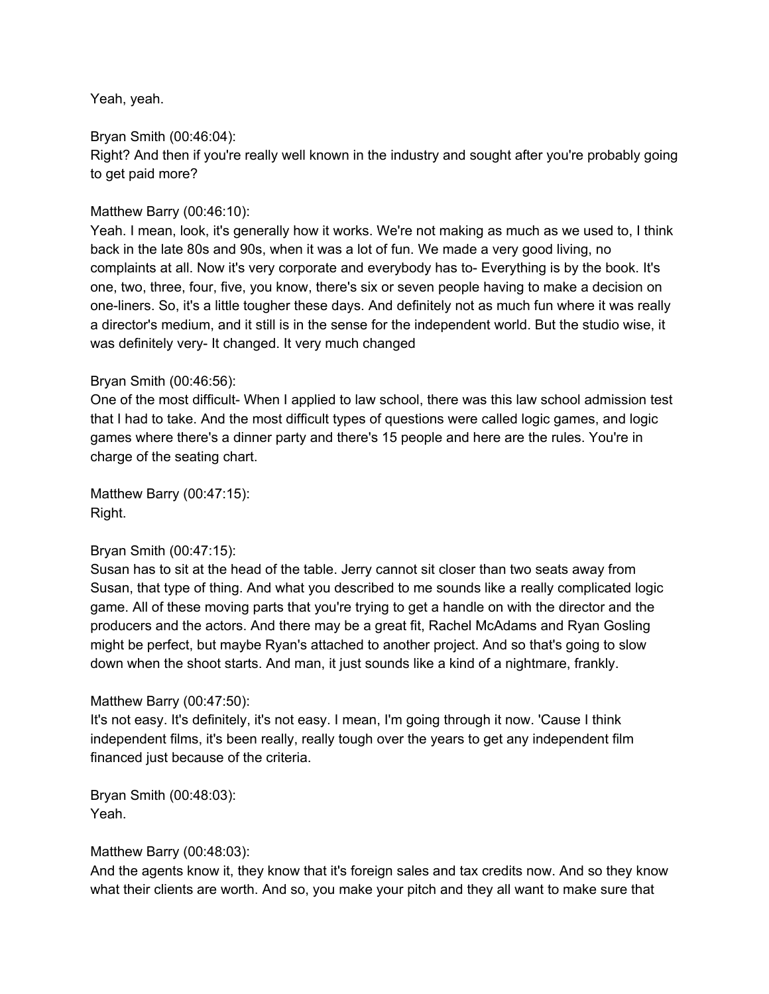Yeah, yeah.

Bryan Smith (00:46:04): Right? And then if you're really well known in the industry and sought after you're probably going to get paid more?

## Matthew Barry (00:46:10):

Yeah. I mean, look, it's generally how it works. We're not making as much as we used to, I think back in the late 80s and 90s, when it was a lot of fun. We made a very good living, no complaints at all. Now it's very corporate and everybody has to- Everything is by the book. It's one, two, three, four, five, you know, there's six or seven people having to make a decision on one-liners. So, it's a little tougher these days. And definitely not as much fun where it was really a director's medium, and it still is in the sense for the independent world. But the studio wise, it was definitely very- It changed. It very much changed

## Bryan Smith (00:46:56):

One of the most difficult- When I applied to law school, there was this law school admission test that I had to take. And the most difficult types of questions were called logic games, and logic games where there's a dinner party and there's 15 people and here are the rules. You're in charge of the seating chart.

Matthew Barry (00:47:15): Right.

## Bryan Smith (00:47:15):

Susan has to sit at the head of the table. Jerry cannot sit closer than two seats away from Susan, that type of thing. And what you described to me sounds like a really complicated logic game. All of these moving parts that you're trying to get a handle on with the director and the producers and the actors. And there may be a great fit, Rachel McAdams and Ryan Gosling might be perfect, but maybe Ryan's attached to another project. And so that's going to slow down when the shoot starts. And man, it just sounds like a kind of a nightmare, frankly.

## Matthew Barry (00:47:50):

It's not easy. It's definitely, it's not easy. I mean, I'm going through it now. 'Cause I think independent films, it's been really, really tough over the years to get any independent film financed just because of the criteria.

Bryan Smith (00:48:03): Yeah.

## Matthew Barry (00:48:03):

And the agents know it, they know that it's foreign sales and tax credits now. And so they know what their clients are worth. And so, you make your pitch and they all want to make sure that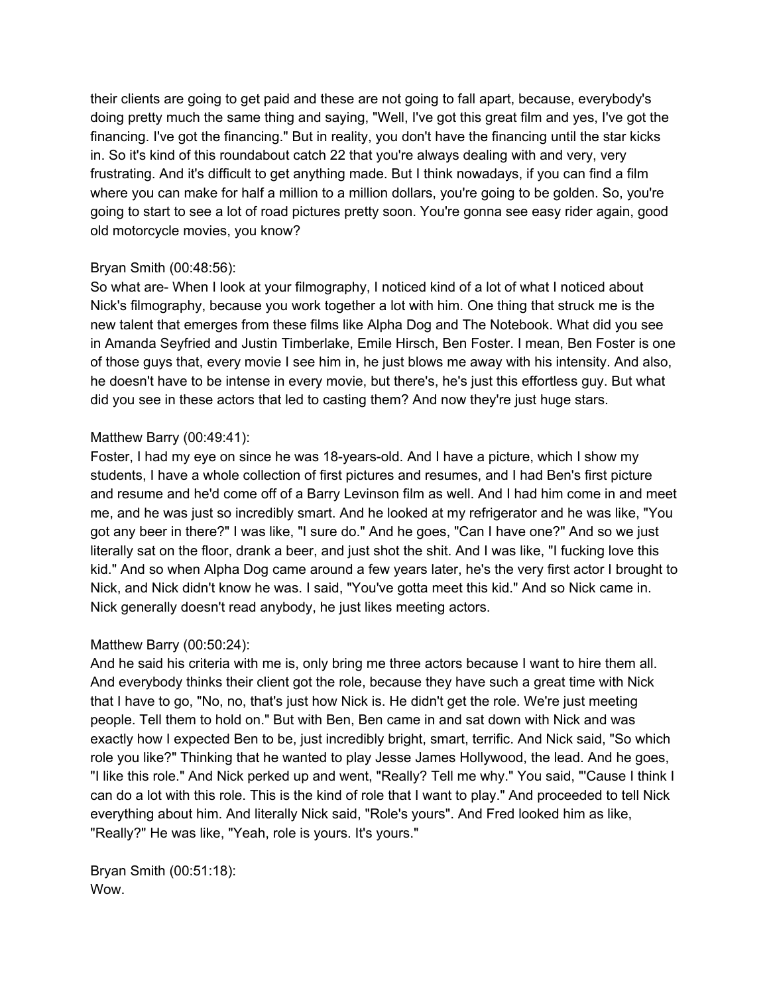their clients are going to get paid and these are not going to fall apart, because, everybody's doing pretty much the same thing and saying, "Well, I've got this great film and yes, I've got the financing. I've got the financing." But in reality, you don't have the financing until the star kicks in. So it's kind of this roundabout catch 22 that you're always dealing with and very, very frustrating. And it's difficult to get anything made. But I think nowadays, if you can find a film where you can make for half a million to a million dollars, you're going to be golden. So, you're going to start to see a lot of road pictures pretty soon. You're gonna see easy rider again, good old motorcycle movies, you know?

## Bryan Smith (00:48:56):

So what are- When I look at your filmography, I noticed kind of a lot of what I noticed about Nick's filmography, because you work together a lot with him. One thing that struck me is the new talent that emerges from these films like Alpha Dog and The Notebook. What did you see in Amanda Seyfried and Justin Timberlake, Emile Hirsch, Ben Foster. I mean, Ben Foster is one of those guys that, every movie I see him in, he just blows me away with his intensity. And also, he doesn't have to be intense in every movie, but there's, he's just this effortless guy. But what did you see in these actors that led to casting them? And now they're just huge stars.

# Matthew Barry (00:49:41):

Foster, I had my eye on since he was 18-years-old. And I have a picture, which I show my students, I have a whole collection of first pictures and resumes, and I had Ben's first picture and resume and he'd come off of a Barry Levinson film as well. And I had him come in and meet me, and he was just so incredibly smart. And he looked at my refrigerator and he was like, "You got any beer in there?" I was like, "I sure do." And he goes, "Can I have one?" And so we just literally sat on the floor, drank a beer, and just shot the shit. And I was like, "I fucking love this kid." And so when Alpha Dog came around a few years later, he's the very first actor I brought to Nick, and Nick didn't know he was. I said, "You've gotta meet this kid." And so Nick came in. Nick generally doesn't read anybody, he just likes meeting actors.

# Matthew Barry (00:50:24):

And he said his criteria with me is, only bring me three actors because I want to hire them all. And everybody thinks their client got the role, because they have such a great time with Nick that I have to go, "No, no, that's just how Nick is. He didn't get the role. We're just meeting people. Tell them to hold on." But with Ben, Ben came in and sat down with Nick and was exactly how I expected Ben to be, just incredibly bright, smart, terrific. And Nick said, "So which role you like?" Thinking that he wanted to play Jesse James Hollywood, the lead. And he goes, "I like this role." And Nick perked up and went, "Really? Tell me why." You said, "'Cause I think I can do a lot with this role. This is the kind of role that I want to play." And proceeded to tell Nick everything about him. And literally Nick said, "Role's yours". And Fred looked him as like, "Really?" He was like, "Yeah, role is yours. It's yours."

Bryan Smith (00:51:18): Wow.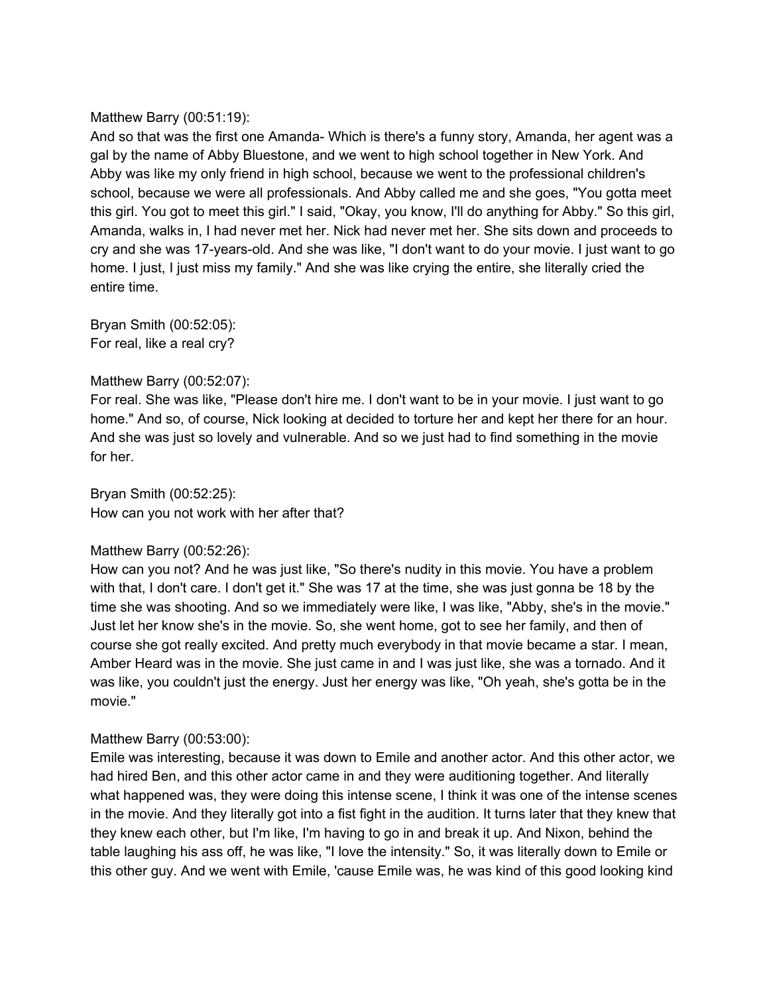## Matthew Barry (00:51:19):

And so that was the first one Amanda- Which is there's a funny story, Amanda, her agent was a gal by the name of Abby Bluestone, and we went to high school together in New York. And Abby was like my only friend in high school, because we went to the professional children's school, because we were all professionals. And Abby called me and she goes, "You gotta meet this girl. You got to meet this girl." I said, "Okay, you know, I'll do anything for Abby." So this girl, Amanda, walks in, I had never met her. Nick had never met her. She sits down and proceeds to cry and she was 17-years-old. And she was like, "I don't want to do your movie. I just want to go home. I just, I just miss my family." And she was like crying the entire, she literally cried the entire time.

Bryan Smith (00:52:05): For real, like a real cry?

## Matthew Barry (00:52:07):

For real. She was like, "Please don't hire me. I don't want to be in your movie. I just want to go home." And so, of course, Nick looking at decided to torture her and kept her there for an hour. And she was just so lovely and vulnerable. And so we just had to find something in the movie for her.

Bryan Smith (00:52:25): How can you not work with her after that?

## Matthew Barry (00:52:26):

How can you not? And he was just like, "So there's nudity in this movie. You have a problem with that, I don't care. I don't get it." She was 17 at the time, she was just gonna be 18 by the time she was shooting. And so we immediately were like, I was like, "Abby, she's in the movie." Just let her know she's in the movie. So, she went home, got to see her family, and then of course she got really excited. And pretty much everybody in that movie became a star. I mean, Amber Heard was in the movie. She just came in and I was just like, she was a tornado. And it was like, you couldn't just the energy. Just her energy was like, "Oh yeah, she's gotta be in the movie."

# Matthew Barry (00:53:00):

Emile was interesting, because it was down to Emile and another actor. And this other actor, we had hired Ben, and this other actor came in and they were auditioning together. And literally what happened was, they were doing this intense scene, I think it was one of the intense scenes in the movie. And they literally got into a fist fight in the audition. It turns later that they knew that they knew each other, but I'm like, I'm having to go in and break it up. And Nixon, behind the table laughing his ass off, he was like, "I love the intensity." So, it was literally down to Emile or this other guy. And we went with Emile, 'cause Emile was, he was kind of this good looking kind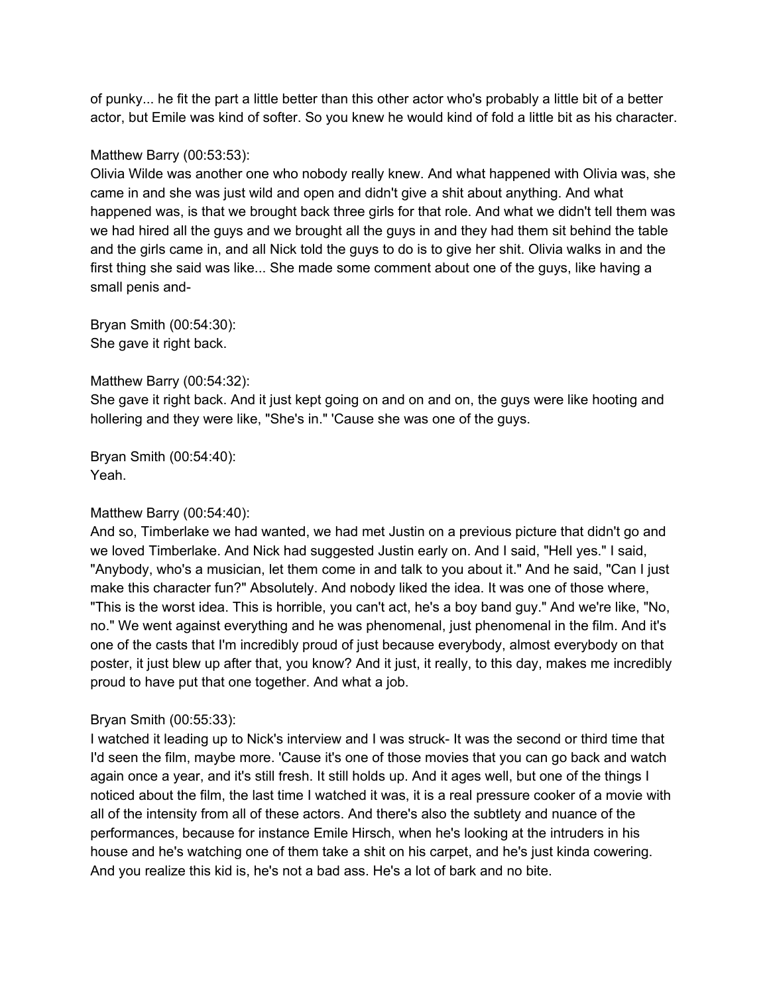of punky... he fit the part a little better than this other actor who's probably a little bit of a better actor, but Emile was kind of softer. So you knew he would kind of fold a little bit as his character.

### Matthew Barry (00:53:53):

Olivia Wilde was another one who nobody really knew. And what happened with Olivia was, she came in and she was just wild and open and didn't give a shit about anything. And what happened was, is that we brought back three girls for that role. And what we didn't tell them was we had hired all the guys and we brought all the guys in and they had them sit behind the table and the girls came in, and all Nick told the guys to do is to give her shit. Olivia walks in and the first thing she said was like... She made some comment about one of the guys, like having a small penis and-

Bryan Smith (00:54:30): She gave it right back.

#### Matthew Barry (00:54:32):

She gave it right back. And it just kept going on and on and on, the guys were like hooting and hollering and they were like, "She's in." 'Cause she was one of the guys.

Bryan Smith (00:54:40): Yeah.

## Matthew Barry (00:54:40):

And so, Timberlake we had wanted, we had met Justin on a previous picture that didn't go and we loved Timberlake. And Nick had suggested Justin early on. And I said, "Hell yes." I said, "Anybody, who's a musician, let them come in and talk to you about it." And he said, "Can I just make this character fun?" Absolutely. And nobody liked the idea. It was one of those where, "This is the worst idea. This is horrible, you can't act, he's a boy band guy." And we're like, "No, no." We went against everything and he was phenomenal, just phenomenal in the film. And it's one of the casts that I'm incredibly proud of just because everybody, almost everybody on that poster, it just blew up after that, you know? And it just, it really, to this day, makes me incredibly proud to have put that one together. And what a job.

#### Bryan Smith (00:55:33):

I watched it leading up to Nick's interview and I was struck- It was the second or third time that I'd seen the film, maybe more. 'Cause it's one of those movies that you can go back and watch again once a year, and it's still fresh. It still holds up. And it ages well, but one of the things I noticed about the film, the last time I watched it was, it is a real pressure cooker of a movie with all of the intensity from all of these actors. And there's also the subtlety and nuance of the performances, because for instance Emile Hirsch, when he's looking at the intruders in his house and he's watching one of them take a shit on his carpet, and he's just kinda cowering. And you realize this kid is, he's not a bad ass. He's a lot of bark and no bite.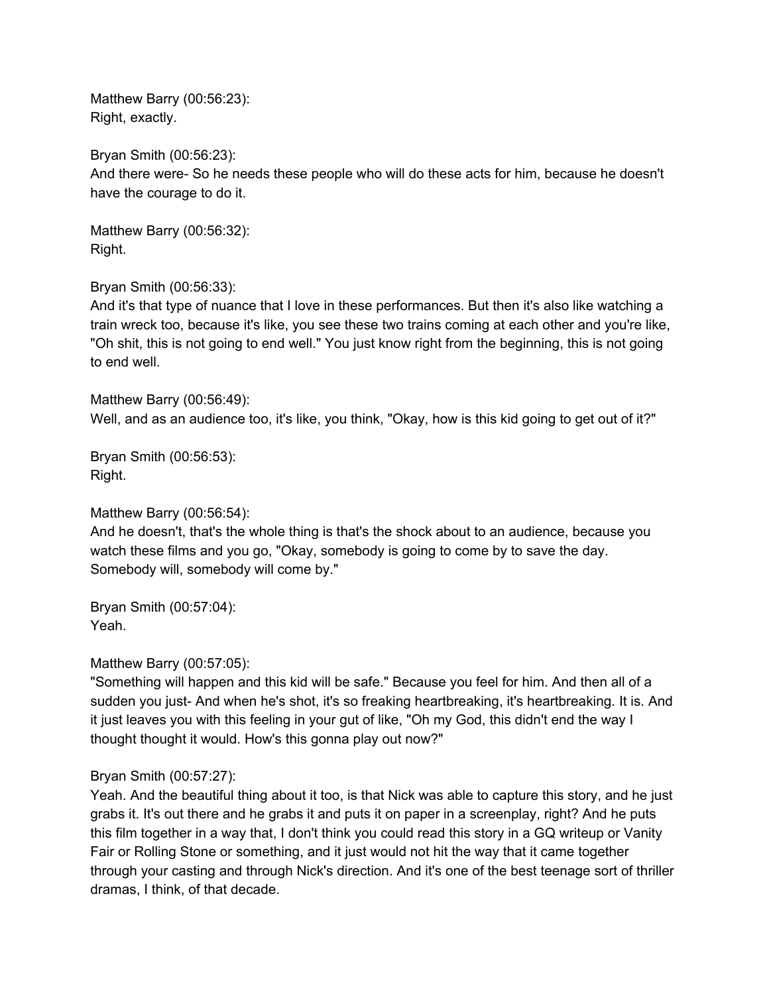Matthew Barry (00:56:23): Right, exactly.

Bryan Smith (00:56:23):

And there were- So he needs these people who will do these acts for him, because he doesn't have the courage to do it.

Matthew Barry (00:56:32): Right.

Bryan Smith (00:56:33):

And it's that type of nuance that I love in these performances. But then it's also like watching a train wreck too, because it's like, you see these two trains coming at each other and you're like, "Oh shit, this is not going to end well." You just know right from the beginning, this is not going to end well.

Matthew Barry (00:56:49): Well, and as an audience too, it's like, you think, "Okay, how is this kid going to get out of it?"

Bryan Smith (00:56:53): Right.

Matthew Barry (00:56:54): And he doesn't, that's the whole thing is that's the shock about to an audience, because you watch these films and you go, "Okay, somebody is going to come by to save the day. Somebody will, somebody will come by."

Bryan Smith (00:57:04): Yeah.

Matthew Barry (00:57:05):

"Something will happen and this kid will be safe." Because you feel for him. And then all of a sudden you just- And when he's shot, it's so freaking heartbreaking, it's heartbreaking. It is. And it just leaves you with this feeling in your gut of like, "Oh my God, this didn't end the way I thought thought it would. How's this gonna play out now?"

# Bryan Smith (00:57:27):

Yeah. And the beautiful thing about it too, is that Nick was able to capture this story, and he just grabs it. It's out there and he grabs it and puts it on paper in a screenplay, right? And he puts this film together in a way that, I don't think you could read this story in a GQ writeup or Vanity Fair or Rolling Stone or something, and it just would not hit the way that it came together through your casting and through Nick's direction. And it's one of the best teenage sort of thriller dramas, I think, of that decade.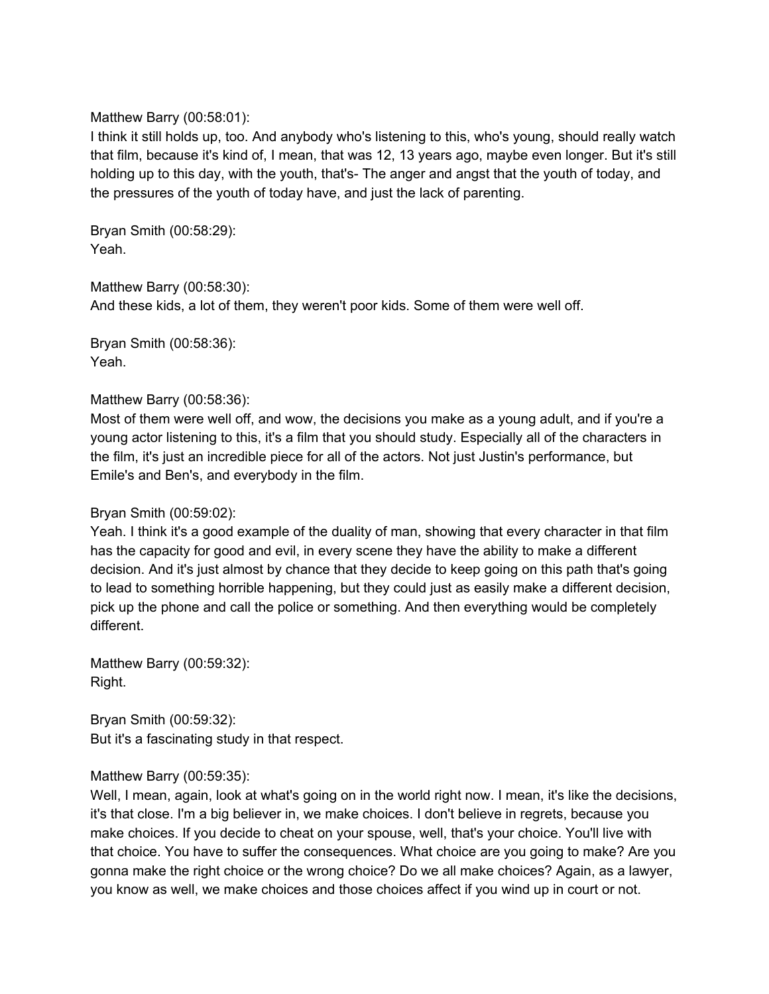### Matthew Barry (00:58:01):

I think it still holds up, too. And anybody who's listening to this, who's young, should really watch that film, because it's kind of, I mean, that was 12, 13 years ago, maybe even longer. But it's still holding up to this day, with the youth, that's- The anger and angst that the youth of today, and the pressures of the youth of today have, and just the lack of parenting.

Bryan Smith (00:58:29): Yeah.

Matthew Barry (00:58:30): And these kids, a lot of them, they weren't poor kids. Some of them were well off.

Bryan Smith (00:58:36): Yeah.

## Matthew Barry (00:58:36):

Most of them were well off, and wow, the decisions you make as a young adult, and if you're a young actor listening to this, it's a film that you should study. Especially all of the characters in the film, it's just an incredible piece for all of the actors. Not just Justin's performance, but Emile's and Ben's, and everybody in the film.

## Bryan Smith (00:59:02):

Yeah. I think it's a good example of the duality of man, showing that every character in that film has the capacity for good and evil, in every scene they have the ability to make a different decision. And it's just almost by chance that they decide to keep going on this path that's going to lead to something horrible happening, but they could just as easily make a different decision, pick up the phone and call the police or something. And then everything would be completely different.

Matthew Barry (00:59:32): Right.

Bryan Smith (00:59:32): But it's a fascinating study in that respect.

## Matthew Barry (00:59:35):

Well, I mean, again, look at what's going on in the world right now. I mean, it's like the decisions, it's that close. I'm a big believer in, we make choices. I don't believe in regrets, because you make choices. If you decide to cheat on your spouse, well, that's your choice. You'll live with that choice. You have to suffer the consequences. What choice are you going to make? Are you gonna make the right choice or the wrong choice? Do we all make choices? Again, as a lawyer, you know as well, we make choices and those choices affect if you wind up in court or not.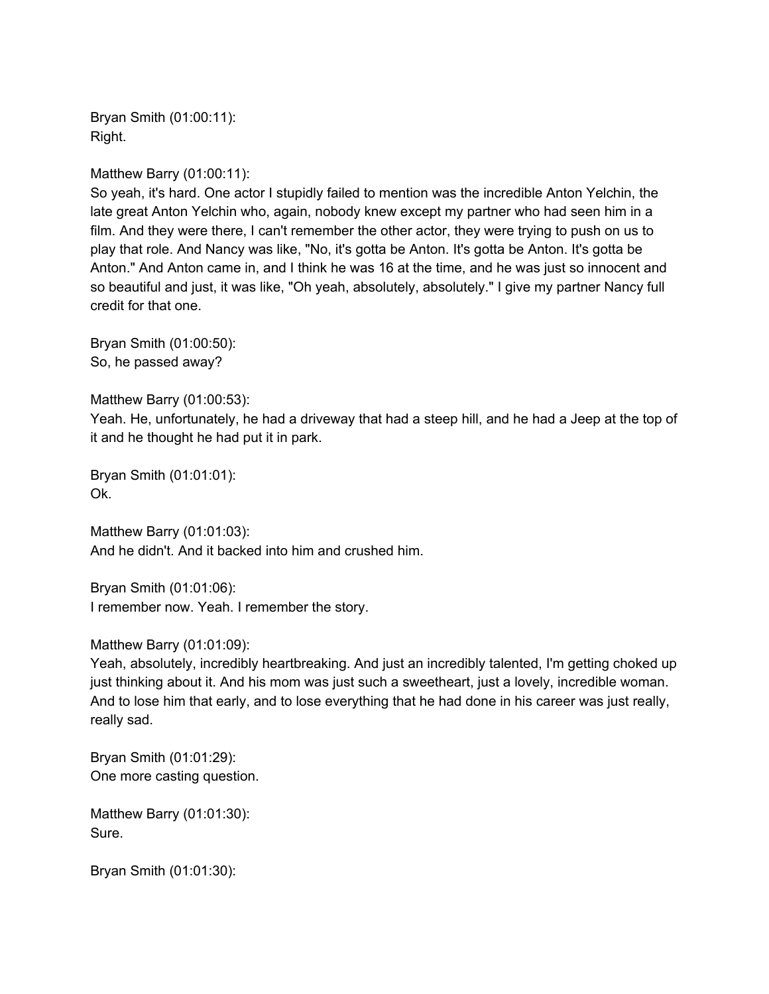Bryan Smith (01:00:11): Right.

Matthew Barry (01:00:11):

So yeah, it's hard. One actor I stupidly failed to mention was the incredible Anton Yelchin, the late great Anton Yelchin who, again, nobody knew except my partner who had seen him in a film. And they were there, I can't remember the other actor, they were trying to push on us to play that role. And Nancy was like, "No, it's gotta be Anton. It's gotta be Anton. It's gotta be Anton." And Anton came in, and I think he was 16 at the time, and he was just so innocent and so beautiful and just, it was like, "Oh yeah, absolutely, absolutely." I give my partner Nancy full credit for that one.

Bryan Smith (01:00:50): So, he passed away?

Matthew Barry (01:00:53):

Yeah. He, unfortunately, he had a driveway that had a steep hill, and he had a Jeep at the top of it and he thought he had put it in park.

Bryan Smith (01:01:01): Ok.

Matthew Barry (01:01:03): And he didn't. And it backed into him and crushed him.

Bryan Smith (01:01:06): I remember now. Yeah. I remember the story.

Matthew Barry (01:01:09):

Yeah, absolutely, incredibly heartbreaking. And just an incredibly talented, I'm getting choked up just thinking about it. And his mom was just such a sweetheart, just a lovely, incredible woman. And to lose him that early, and to lose everything that he had done in his career was just really, really sad.

Bryan Smith (01:01:29): One more casting question.

Matthew Barry (01:01:30): Sure.

Bryan Smith (01:01:30):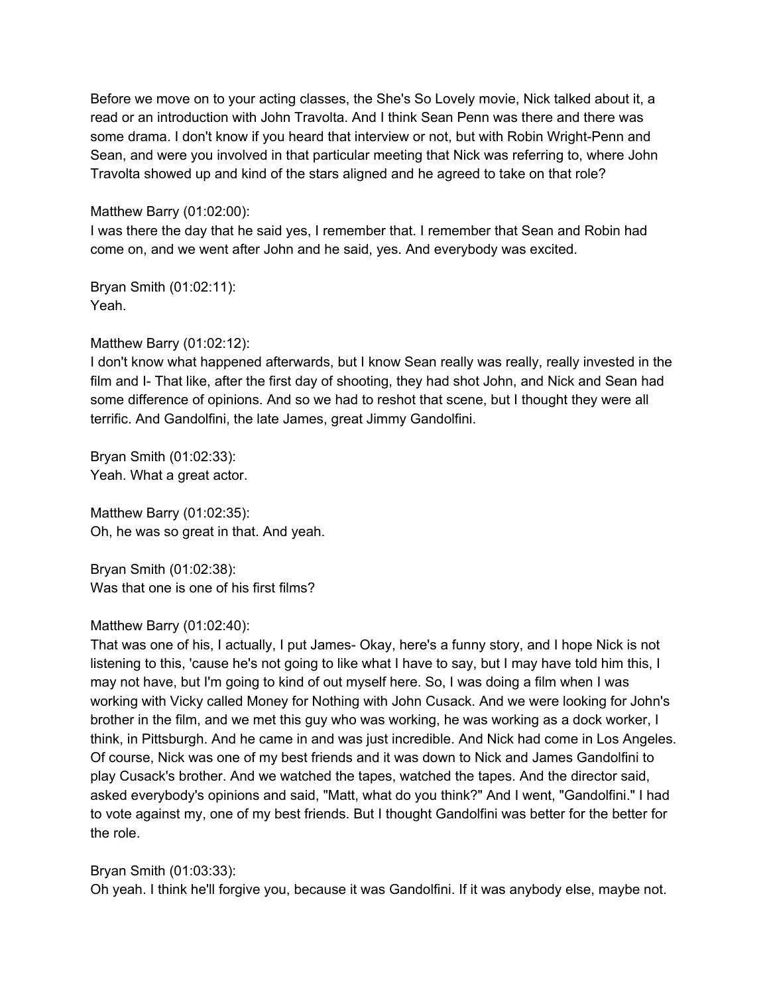Before we move on to your acting classes, the She's So Lovely movie, Nick talked about it, a read or an introduction with John Travolta. And I think Sean Penn was there and there was some drama. I don't know if you heard that interview or not, but with Robin Wright-Penn and Sean, and were you involved in that particular meeting that Nick was referring to, where John Travolta showed up and kind of the stars aligned and he agreed to take on that role?

Matthew Barry (01:02:00):

I was there the day that he said yes, I remember that. I remember that Sean and Robin had come on, and we went after John and he said, yes. And everybody was excited.

Bryan Smith (01:02:11): Yeah.

Matthew Barry (01:02:12):

I don't know what happened afterwards, but I know Sean really was really, really invested in the film and I- That like, after the first day of shooting, they had shot John, and Nick and Sean had some difference of opinions. And so we had to reshot that scene, but I thought they were all terrific. And Gandolfini, the late James, great Jimmy Gandolfini.

Bryan Smith (01:02:33): Yeah. What a great actor.

Matthew Barry (01:02:35): Oh, he was so great in that. And yeah.

Bryan Smith (01:02:38): Was that one is one of his first films?

# Matthew Barry (01:02:40):

That was one of his, I actually, I put James- Okay, here's a funny story, and I hope Nick is not listening to this, 'cause he's not going to like what I have to say, but I may have told him this, I may not have, but I'm going to kind of out myself here. So, I was doing a film when I was working with Vicky called Money for Nothing with John Cusack. And we were looking for John's brother in the film, and we met this guy who was working, he was working as a dock worker, I think, in Pittsburgh. And he came in and was just incredible. And Nick had come in Los Angeles. Of course, Nick was one of my best friends and it was down to Nick and James Gandolfini to play Cusack's brother. And we watched the tapes, watched the tapes. And the director said, asked everybody's opinions and said, "Matt, what do you think?" And I went, "Gandolfini." I had to vote against my, one of my best friends. But I thought Gandolfini was better for the better for the role.

Bryan Smith (01:03:33):

Oh yeah. I think he'll forgive you, because it was Gandolfini. If it was anybody else, maybe not.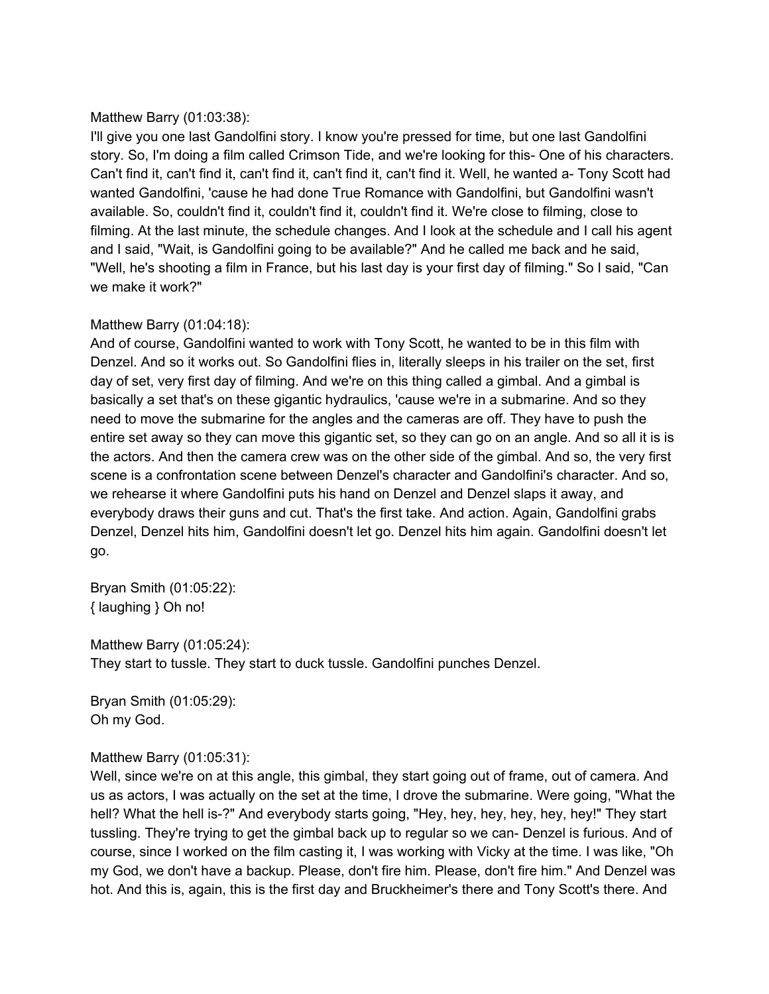## Matthew Barry (01:03:38):

I'll give you one last Gandolfini story. I know you're pressed for time, but one last Gandolfini story. So, I'm doing a film called Crimson Tide, and we're looking for this- One of his characters. Can't find it, can't find it, can't find it, can't find it, can't find it. Well, he wanted a- Tony Scott had wanted Gandolfini, 'cause he had done True Romance with Gandolfini, but Gandolfini wasn't available. So, couldn't find it, couldn't find it, couldn't find it. We're close to filming, close to filming. At the last minute, the schedule changes. And I look at the schedule and I call his agent and I said, "Wait, is Gandolfini going to be available?" And he called me back and he said, "Well, he's shooting a film in France, but his last day is your first day of filming." So I said, "Can we make it work?"

## Matthew Barry (01:04:18):

And of course, Gandolfini wanted to work with Tony Scott, he wanted to be in this film with Denzel. And so it works out. So Gandolfini flies in, literally sleeps in his trailer on the set, first day of set, very first day of filming. And we're on this thing called a gimbal. And a gimbal is basically a set that's on these gigantic hydraulics, 'cause we're in a submarine. And so they need to move the submarine for the angles and the cameras are off. They have to push the entire set away so they can move this gigantic set, so they can go on an angle. And so all it is is the actors. And then the camera crew was on the other side of the gimbal. And so, the very first scene is a confrontation scene between Denzel's character and Gandolfini's character. And so, we rehearse it where Gandolfini puts his hand on Denzel and Denzel slaps it away, and everybody draws their guns and cut. That's the first take. And action. Again, Gandolfini grabs Denzel, Denzel hits him, Gandolfini doesn't let go. Denzel hits him again. Gandolfini doesn't let go.

Bryan Smith (01:05:22): { laughing } Oh no!

Matthew Barry (01:05:24): They start to tussle. They start to duck tussle. Gandolfini punches Denzel.

Bryan Smith (01:05:29): Oh my God.

## Matthew Barry (01:05:31):

Well, since we're on at this angle, this gimbal, they start going out of frame, out of camera. And us as actors, I was actually on the set at the time, I drove the submarine. Were going, "What the hell? What the hell is-?" And everybody starts going, "Hey, hey, hey, hey, hey, hey!" They start tussling. They're trying to get the gimbal back up to regular so we can- Denzel is furious. And of course, since I worked on the film casting it, I was working with Vicky at the time. I was like, "Oh my God, we don't have a backup. Please, don't fire him. Please, don't fire him." And Denzel was hot. And this is, again, this is the first day and Bruckheimer's there and Tony Scott's there. And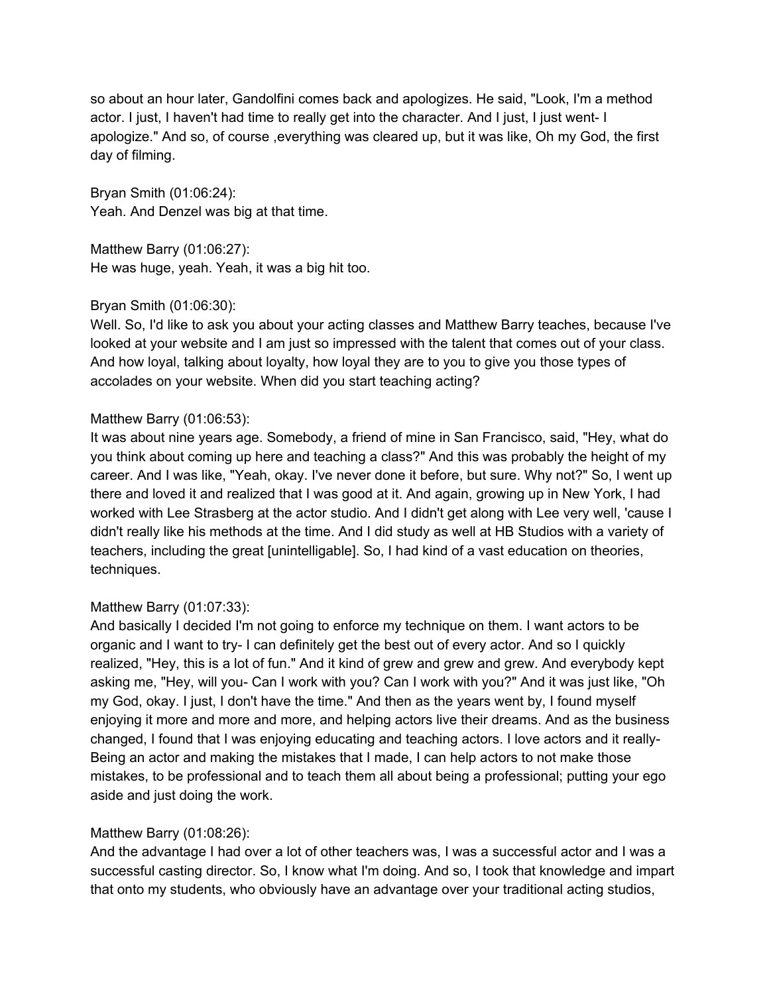so about an hour later, Gandolfini comes back and apologizes. He said, "Look, I'm a method actor. I just, I haven't had time to really get into the character. And I just, I just went- I apologize." And so, of course ,everything was cleared up, but it was like, Oh my God, the first day of filming.

Bryan Smith (01:06:24): Yeah. And Denzel was big at that time.

Matthew Barry (01:06:27): He was huge, yeah. Yeah, it was a big hit too.

# Bryan Smith (01:06:30):

Well. So, I'd like to ask you about your acting classes and Matthew Barry teaches, because I've looked at your website and I am just so impressed with the talent that comes out of your class. And how loyal, talking about loyalty, how loyal they are to you to give you those types of accolades on your website. When did you start teaching acting?

# Matthew Barry (01:06:53):

It was about nine years age. Somebody, a friend of mine in San Francisco, said, "Hey, what do you think about coming up here and teaching a class?" And this was probably the height of my career. And I was like, "Yeah, okay. I've never done it before, but sure. Why not?" So, I went up there and loved it and realized that I was good at it. And again, growing up in New York, I had worked with Lee Strasberg at the actor studio. And I didn't get along with Lee very well, 'cause I didn't really like his methods at the time. And I did study as well at HB Studios with a variety of teachers, including the great [unintelligable]. So, I had kind of a vast education on theories, techniques.

# Matthew Barry (01:07:33):

And basically I decided I'm not going to enforce my technique on them. I want actors to be organic and I want to try- I can definitely get the best out of every actor. And so I quickly realized, "Hey, this is a lot of fun." And it kind of grew and grew and grew. And everybody kept asking me, "Hey, will you- Can I work with you? Can I work with you?" And it was just like, "Oh my God, okay. I just, I don't have the time." And then as the years went by, I found myself enjoying it more and more and more, and helping actors live their dreams. And as the business changed, I found that I was enjoying educating and teaching actors. I love actors and it really-Being an actor and making the mistakes that I made, I can help actors to not make those mistakes, to be professional and to teach them all about being a professional; putting your ego aside and just doing the work.

# Matthew Barry (01:08:26):

And the advantage I had over a lot of other teachers was, I was a successful actor and I was a successful casting director. So, I know what I'm doing. And so, I took that knowledge and impart that onto my students, who obviously have an advantage over your traditional acting studios,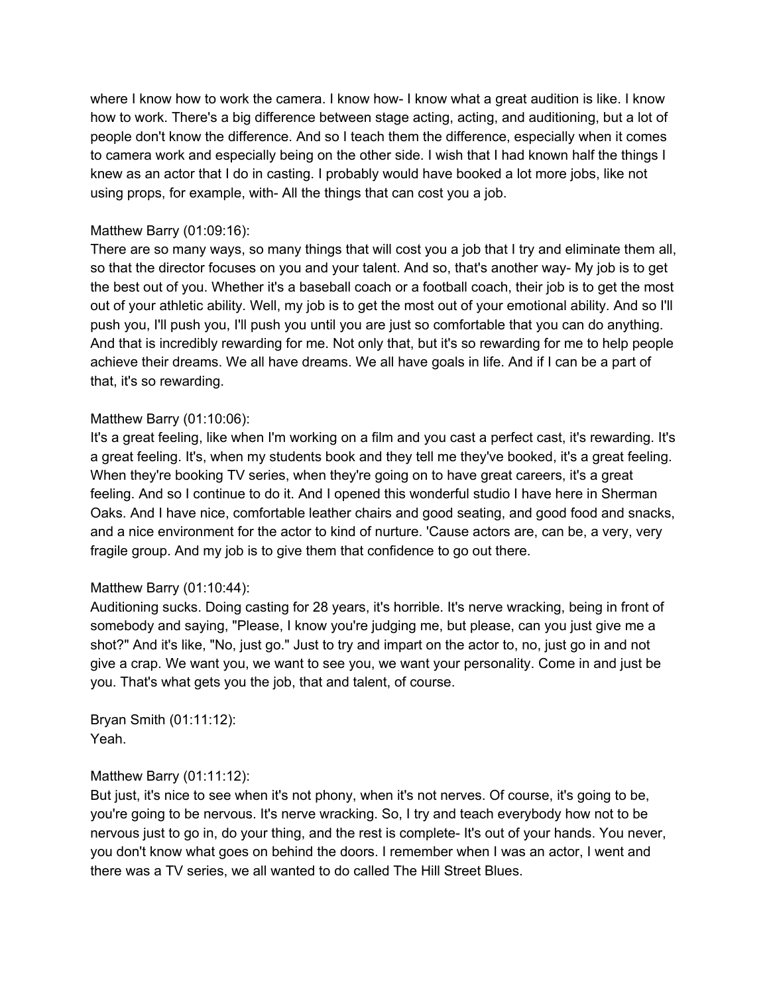where I know how to work the camera. I know how- I know what a great audition is like. I know how to work. There's a big difference between stage acting, acting, and auditioning, but a lot of people don't know the difference. And so I teach them the difference, especially when it comes to camera work and especially being on the other side. I wish that I had known half the things I knew as an actor that I do in casting. I probably would have booked a lot more jobs, like not using props, for example, with- All the things that can cost you a job.

## Matthew Barry (01:09:16):

There are so many ways, so many things that will cost you a job that I try and eliminate them all, so that the director focuses on you and your talent. And so, that's another way- My job is to get the best out of you. Whether it's a baseball coach or a football coach, their job is to get the most out of your athletic ability. Well, my job is to get the most out of your emotional ability. And so I'll push you, I'll push you, I'll push you until you are just so comfortable that you can do anything. And that is incredibly rewarding for me. Not only that, but it's so rewarding for me to help people achieve their dreams. We all have dreams. We all have goals in life. And if I can be a part of that, it's so rewarding.

## Matthew Barry (01:10:06):

It's a great feeling, like when I'm working on a film and you cast a perfect cast, it's rewarding. It's a great feeling. It's, when my students book and they tell me they've booked, it's a great feeling. When they're booking TV series, when they're going on to have great careers, it's a great feeling. And so I continue to do it. And I opened this wonderful studio I have here in Sherman Oaks. And I have nice, comfortable leather chairs and good seating, and good food and snacks, and a nice environment for the actor to kind of nurture. 'Cause actors are, can be, a very, very fragile group. And my job is to give them that confidence to go out there.

## Matthew Barry (01:10:44):

Auditioning sucks. Doing casting for 28 years, it's horrible. It's nerve wracking, being in front of somebody and saying, "Please, I know you're judging me, but please, can you just give me a shot?" And it's like, "No, just go." Just to try and impart on the actor to, no, just go in and not give a crap. We want you, we want to see you, we want your personality. Come in and just be you. That's what gets you the job, that and talent, of course.

Bryan Smith (01:11:12): Yeah.

# Matthew Barry (01:11:12):

But just, it's nice to see when it's not phony, when it's not nerves. Of course, it's going to be, you're going to be nervous. It's nerve wracking. So, I try and teach everybody how not to be nervous just to go in, do your thing, and the rest is complete- It's out of your hands. You never, you don't know what goes on behind the doors. I remember when I was an actor, I went and there was a TV series, we all wanted to do called The Hill Street Blues.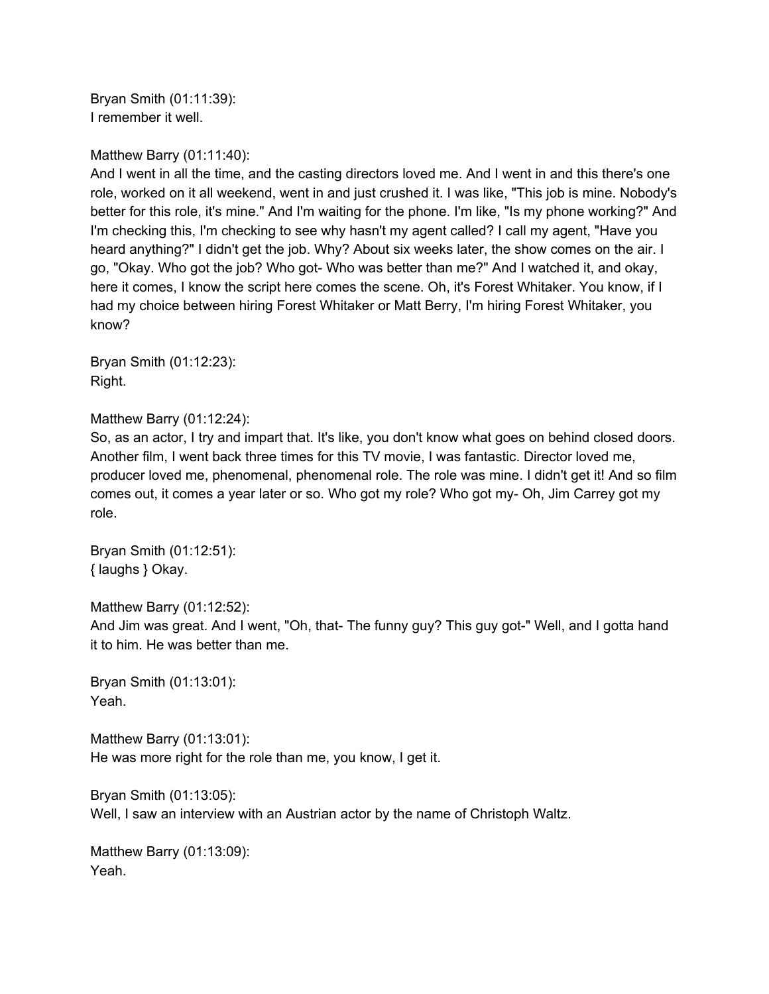Bryan Smith (01:11:39): I remember it well.

Matthew Barry (01:11:40):

And I went in all the time, and the casting directors loved me. And I went in and this there's one role, worked on it all weekend, went in and just crushed it. I was like, "This job is mine. Nobody's better for this role, it's mine." And I'm waiting for the phone. I'm like, "Is my phone working?" And I'm checking this, I'm checking to see why hasn't my agent called? I call my agent, "Have you heard anything?" I didn't get the job. Why? About six weeks later, the show comes on the air. I go, "Okay. Who got the job? Who got- Who was better than me?" And I watched it, and okay, here it comes, I know the script here comes the scene. Oh, it's Forest Whitaker. You know, if I had my choice between hiring Forest Whitaker or Matt Berry, I'm hiring Forest Whitaker, you know?

Bryan Smith (01:12:23): Right.

Matthew Barry (01:12:24):

So, as an actor, I try and impart that. It's like, you don't know what goes on behind closed doors. Another film, I went back three times for this TV movie, I was fantastic. Director loved me, producer loved me, phenomenal, phenomenal role. The role was mine. I didn't get it! And so film comes out, it comes a year later or so. Who got my role? Who got my- Oh, Jim Carrey got my role.

Bryan Smith (01:12:51): { laughs } Okay.

Matthew Barry (01:12:52): And Jim was great. And I went, "Oh, that- The funny guy? This guy got-" Well, and I gotta hand it to him. He was better than me.

Bryan Smith (01:13:01): Yeah.

Matthew Barry (01:13:01): He was more right for the role than me, you know, I get it.

Bryan Smith (01:13:05): Well, I saw an interview with an Austrian actor by the name of Christoph Waltz.

Matthew Barry (01:13:09): Yeah.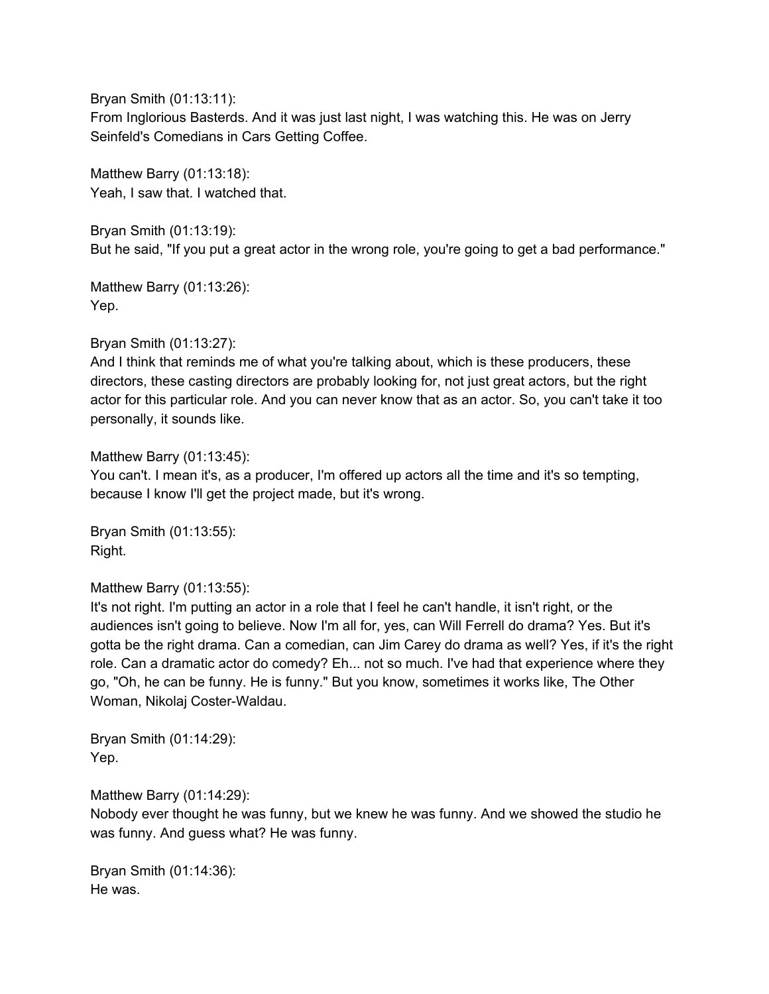Bryan Smith (01:13:11):

From Inglorious Basterds. And it was just last night, I was watching this. He was on Jerry Seinfeld's Comedians in Cars Getting Coffee.

Matthew Barry (01:13:18): Yeah, I saw that. I watched that.

Bryan Smith (01:13:19): But he said, "If you put a great actor in the wrong role, you're going to get a bad performance."

Matthew Barry (01:13:26): Yep.

Bryan Smith (01:13:27):

And I think that reminds me of what you're talking about, which is these producers, these directors, these casting directors are probably looking for, not just great actors, but the right actor for this particular role. And you can never know that as an actor. So, you can't take it too personally, it sounds like.

Matthew Barry (01:13:45):

You can't. I mean it's, as a producer, I'm offered up actors all the time and it's so tempting, because I know I'll get the project made, but it's wrong.

Bryan Smith (01:13:55): Right.

## Matthew Barry (01:13:55):

It's not right. I'm putting an actor in a role that I feel he can't handle, it isn't right, or the audiences isn't going to believe. Now I'm all for, yes, can Will Ferrell do drama? Yes. But it's gotta be the right drama. Can a comedian, can Jim Carey do drama as well? Yes, if it's the right role. Can a dramatic actor do comedy? Eh... not so much. I've had that experience where they go, "Oh, he can be funny. He is funny." But you know, sometimes it works like, The Other Woman, Nikolaj Coster-Waldau.

Bryan Smith (01:14:29): Yep.

Matthew Barry (01:14:29):

Nobody ever thought he was funny, but we knew he was funny. And we showed the studio he was funny. And guess what? He was funny.

Bryan Smith (01:14:36): He was.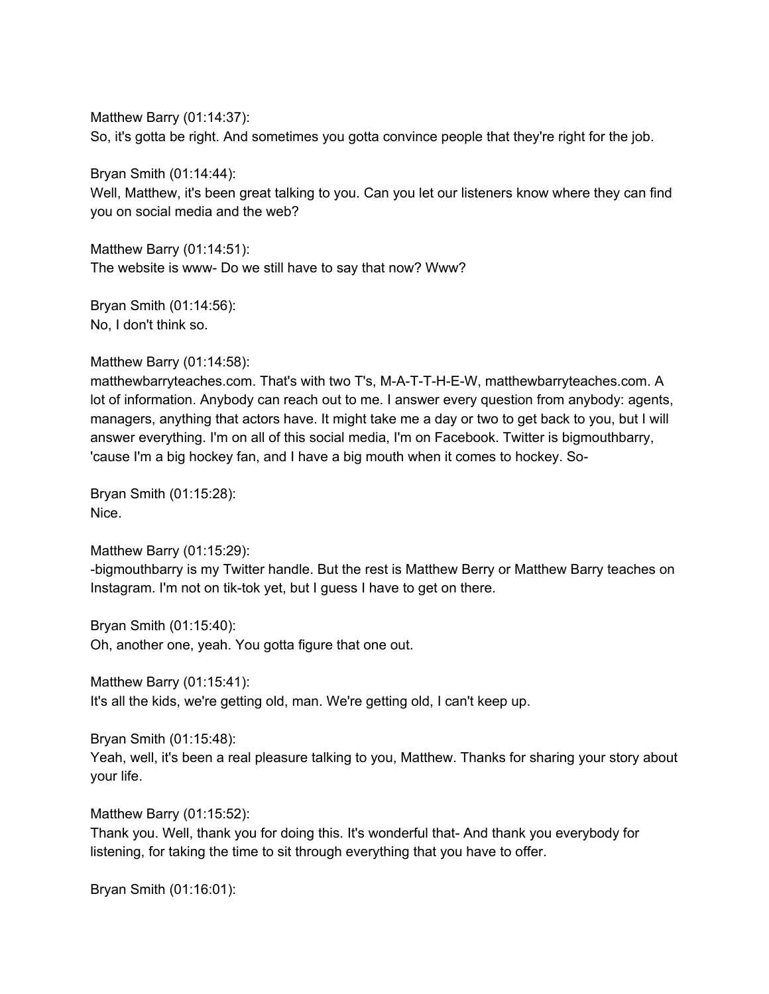Matthew Barry (01:14:37): So, it's gotta be right. And sometimes you gotta convince people that they're right for the job.

Bryan Smith (01:14:44):

Well, Matthew, it's been great talking to you. Can you let our listeners know where they can find you on social media and the web?

Matthew Barry (01:14:51): The website is www- Do we still have to say that now? Www?

Bryan Smith (01:14:56): No, I don't think so.

Matthew Barry (01:14:58):

matthewbarryteaches.com. That's with two T's, M-A-T-T-H-E-W, matthewbarryteaches.com. A lot of information. Anybody can reach out to me. I answer every question from anybody: agents, managers, anything that actors have. It might take me a day or two to get back to you, but I will answer everything. I'm on all of this social media, I'm on Facebook. Twitter is bigmouthbarry, 'cause I'm a big hockey fan, and I have a big mouth when it comes to hockey. So-

Bryan Smith (01:15:28): Nice.

Matthew Barry (01:15:29):

-bigmouthbarry is my Twitter handle. But the rest is Matthew Berry or Matthew Barry teaches on Instagram. I'm not on tik-tok yet, but I guess I have to get on there.

Bryan Smith (01:15:40): Oh, another one, yeah. You gotta figure that one out.

Matthew Barry (01:15:41):

It's all the kids, we're getting old, man. We're getting old, I can't keep up.

Bryan Smith (01:15:48):

Yeah, well, it's been a real pleasure talking to you, Matthew. Thanks for sharing your story about your life.

Matthew Barry (01:15:52):

Thank you. Well, thank you for doing this. It's wonderful that- And thank you everybody for listening, for taking the time to sit through everything that you have to offer.

Bryan Smith (01:16:01):